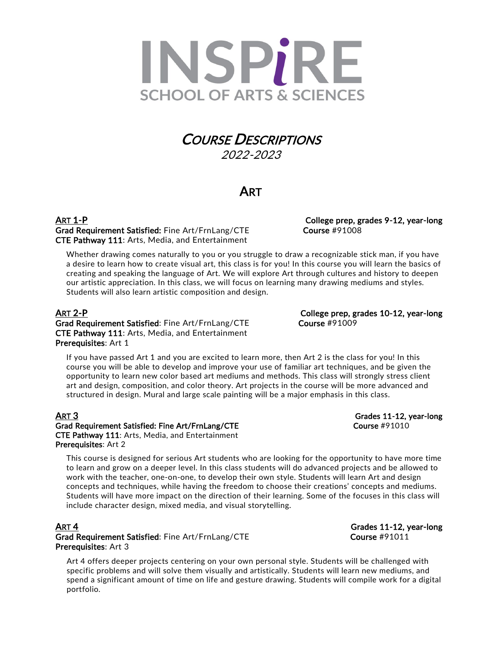

# **COURSE DESCRIPTIONS**<br>2022-2023

## **ART**

ART 1-P **College prep, grades 9-12, year-long** Grad Requirement Satisfied: Fine Art/FrnLang/CTE Course #91008 CTE Pathway 111: Arts, Media, and Entertainment

Whether drawing comes naturally to you or you struggle to draw a recognizable stick man, if you have a desire to learn how to create visual art, this class is for you! In this course you will learn the basics of creating and speaking the language of Art. We will explore Art through cultures and history to deepen our artistic appreciation. In this class, we will focus on learning many drawing mediums and styles. Students will also learn artistic composition and design.

Grad Requirement Satisfied: Fine Art/FrnLang/CTE Course #91009 CTE Pathway 111: Arts, Media, and Entertainment Prerequisites: Art 1

If you have passed Art 1 and you are excited to learn more, then Art 2 is the class for you! In this course you will be able to develop and improve your use of familiar art techniques, and be given the opportunity to learn new color based art mediums and methods. This class will strongly stress client art and design, composition, and color theory. Art projects in the course will be more advanced and structured in design. Mural and large scale painting will be a major emphasis in this class.

### ART 3 Grades 11-12, year-long Grad Requirement Satisfied: Fine Art/FrnLang/CTE Course #91010 CTE Pathway 111: Arts, Media, and Entertainment Prerequisites: Art 2

This course is designed for serious Art students who are looking for the opportunity to have more time to learn and grow on a deeper level. In this class students will do advanced projects and be allowed to work with the teacher, one-on-one, to develop their own style. Students will learn Art and design concepts and techniques, while having the freedom to choose their creations' concepts and mediums. Students will have more impact on the direction of their learning. Some of the focuses in this class will include character design, mixed media, and visual storytelling.

## **ART 4** Grades 11-12, year-long Grad Requirement Satisfied: Fine Art/FrnLang/CTE Course #91011 Prerequisites: Art 3

Art 4 offers deeper projects centering on your own personal style. Students will be challenged with specific problems and will solve them visually and artistically. Students will learn new mediums, and spend a significant amount of time on life and gesture drawing. Students will compile work for a digital portfolio.

ART 2-P College prep, grades 10-12, year-long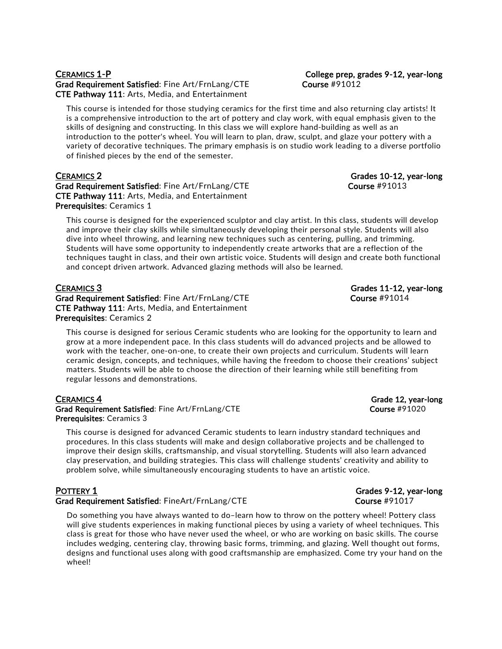## CERAMICS 1-P College prep, grades 9-12, year-long Grad Requirement Satisfied: Fine Art/FrnLang/CTE Course #91012 CTE Pathway 111: Arts, Media, and Entertainment

This course is intended for those studying ceramics for the first time and also returning clay artists! It is a comprehensive introduction to the art of pottery and clay work, with equal emphasis given to the skills of designing and constructing. In this class we will explore hand-building as well as an introduction to the potter's wheel. You will learn to plan, draw, sculpt, and glaze your pottery with a variety of decorative techniques. The primary emphasis is on studio work leading to a diverse portfolio of finished pieces by the end of the semester.

## CERAMICS 2 Grades 10-12, year-long

Grad Requirement Satisfied: Fine Art/FrnLang/CTE Course #91013 CTE Pathway 111: Arts, Media, and Entertainment Prerequisites: Ceramics 1

This course is designed for the experienced sculptor and clay artist. In this class, students will develop and improve their clay skills while simultaneously developing their personal style. Students will also dive into wheel throwing, and learning new techniques such as centering, pulling, and trimming. Students will have some opportunity to independently create artworks that are a reflection of the techniques taught in class, and their own artistic voice. Students will design and create both functional and concept driven artwork. Advanced glazing methods will also be learned.

Grad Requirement Satisfied: Fine Art/FrnLang/CTE Course #91014 CTE Pathway 111: Arts, Media, and Entertainment Prerequisites: Ceramics 2

This course is designed for serious Ceramic students who are looking for the opportunity to learn and grow at a more independent pace. In this class students will do advanced projects and be allowed to work with the teacher, one-on-one, to create their own projects and curriculum. Students will learn ceramic design, concepts, and techniques, while having the freedom to choose their creations' subject matters. Students will be able to choose the direction of their learning while still benefiting from regular lessons and demonstrations.

### CERAMICS 4 Grade 12, year-long Grad Requirement Satisfied: Fine Art/FrnLang/CTE Course #91020 Prerequisites: Ceramics 3

This course is designed for advanced Ceramic students to learn industry standard techniques and procedures. In this class students will make and design collaborative projects and be challenged to improve their design skills, craftsmanship, and visual storytelling. Students will also learn advanced clay preservation, and building strategies. This class will challenge students' creativity and ability to problem solve, while simultaneously encouraging students to have an artistic voice.

### Grad Requirement Satisfied: FineArt/FrnLang/CTE Course #91017

Do something you have always wanted to do–learn how to throw on the pottery wheel! Pottery class will give students experiences in making functional pieces by using a variety of wheel techniques. This class is great for those who have never used the wheel, or who are working on basic skills. The course includes wedging, centering clay, throwing basic forms, trimming, and glazing. Well thought out forms, designs and functional uses along with good craftsmanship are emphasized. Come try your hand on the wheel!

CERAMICS 3 Grades 11-12, year-long

## POTTERY 1 Grades 9-12, year-long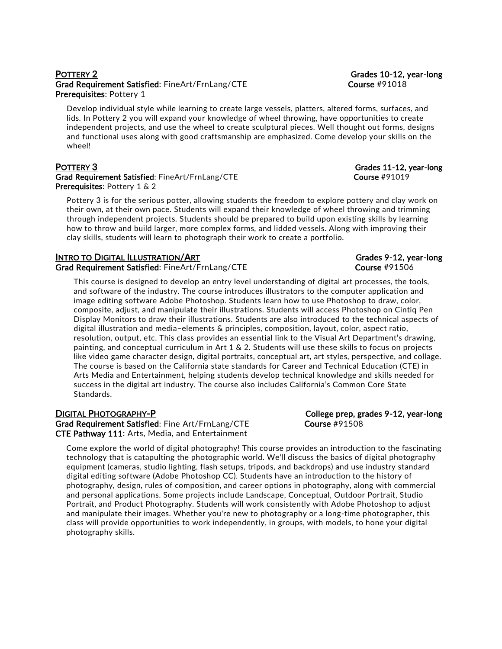## POTTERY 2 Grades 10-12, year-long Grad Requirement Satisfied: FineArt/FrnLang/CTE Course #91018 Prerequisites: Pottery 1

Develop individual style while learning to create large vessels, platters, altered forms, surfaces, and lids. In Pottery 2 you will expand your knowledge of wheel throwing, have opportunities to create independent projects, and use the wheel to create sculptural pieces. Well thought out forms, designs and functional uses along with good craftsmanship are emphasized. Come develop your skills on the wheel!

Grad Requirement Satisfied: FineArt/FrnLang/CTE example and the course #91019 Prerequisites: Pottery 1 & 2

Pottery 3 is for the serious potter, allowing students the freedom to explore pottery and clay work on their own, at their own pace. Students will expand their knowledge of wheel throwing and trimming through independent projects. Students should be prepared to build upon existing skills by learning how to throw and build larger, more complex forms, and lidded vessels. Along with improving their clay skills, students will learn to photograph their work to create a portfolio.

## INTRO TO DIGITAL ILLUSTRATION/ART Grades 9-12, year-long

Grad Requirement Satisfied: FineArt/FrnLang/CTE Course #91506

This course is designed to develop an entry level understanding of digital art processes, the tools, and software of the industry. The course introduces illustrators to the computer application and image editing software Adobe Photoshop. Students learn how to use Photoshop to draw, color, composite, adjust, and manipulate their illustrations. Students will access Photoshop on Cintiq Pen Display Monitors to draw their illustrations. Students are also introduced to the technical aspects of digital illustration and media–elements & principles, composition, layout, color, aspect ratio, resolution, output, etc. This class provides an essential link to the Visual Art Department's drawing, painting, and conceptual curriculum in Art 1 & 2. Students will use these skills to focus on projects like video game character design, digital portraits, conceptual art, art styles, perspective, and collage. The course is based on the California state standards for Career and Technical Education (CTE) in Arts Media and Entertainment, helping students develop technical knowledge and skills needed for success in the digital art industry. The course also includes California's Common Core State Standards.

DIGITAL PHOTOGRAPHY-P College prep, grades 9-12, year-long Grad Requirement Satisfied: Fine Art/FrnLang/CTE Course #91508 CTE Pathway 111: Arts, Media, and Entertainment

Come explore the world of digital photography! This course provides an introduction to the fascinating technology that is catapulting the photographic world. We'll discuss the basics of digital photography equipment (cameras, studio lighting, flash setups, tripods, and backdrops) and use industry standard digital editing software (Adobe Photoshop CC). Students have an introduction to the history of photography, design, rules of composition, and career options in photography, along with commercial and personal applications. Some projects include Landscape, Conceptual, Outdoor Portrait, Studio Portrait, and Product Photography. Students will work consistently with Adobe Photoshop to adjust and manipulate their images. Whether you're new to photography or a long-time photographer, this class will provide opportunities to work independently, in groups, with models, to hone your digital photography skills.

POTTERY 3 Grades 11-12, year-long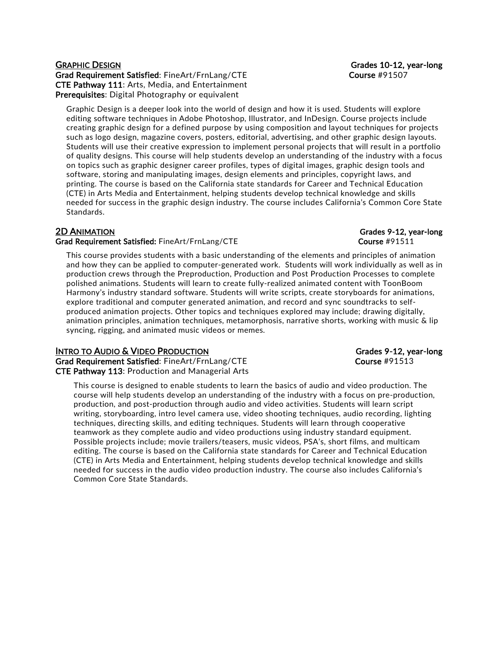### GRAPHIC DESIGN Grades 10-12, year-long Grad Requirement Satisfied: FineArt/FrnLang/CTE Course #91507 CTE Pathway 111: Arts, Media, and Entertainment Prerequisites: Digital Photography or equivalent

Graphic Design is a deeper look into the world of design and how it is used. Students will explore editing software techniques in Adobe Photoshop, Illustrator, and InDesign. Course projects include creating graphic design for a defined purpose by using composition and layout techniques for projects such as logo design, magazine covers, posters, editorial, advertising, and other graphic design layouts. Students will use their creative expression to implement personal projects that will result in a portfolio of quality designs. This course will help students develop an understanding of the industry with a focus on topics such as graphic designer career profiles, types of digital images, graphic design tools and software, storing and manipulating images, design elements and principles, copyright laws, and printing. The course is based on the California state standards for Career and Technical Education (CTE) in Arts Media and Entertainment, helping students develop technical knowledge and skills needed for success in the graphic design industry. The course includes California's Common Core State Standards.

## 2D ANIMATION Grades 9-12, year-long

## Grad Requirement Satisfied: FineArt/FrnLang/CTE Course #91511

This course provides students with a basic understanding of the elements and principles of animation and how they can be applied to computer-generated work. Students will work individually as well as in production crews through the Preproduction, Production and Post Production Processes to complete polished animations. Students will learn to create fully-realized animated content with ToonBoom Harmony's industry standard software. Students will write scripts, create storyboards for animations, explore traditional and computer generated animation, and record and sync soundtracks to selfproduced animation projects. Other topics and techniques explored may include; drawing digitally, animation principles, animation techniques, metamorphosis, narrative shorts, working with music & lip syncing, rigging, and animated music videos or memes.

## INTRO TO AUDIO & VIDEO PRODUCTION GRADES AND STRUCT AND Grades 9-12, year-long

Grad Requirement Satisfied: FineArt/FrnLang/CTE Course #91513 CTE Pathway 113: Production and Managerial Arts

This course is designed to enable students to learn the basics of audio and video production. The course will help students develop an understanding of the industry with a focus on pre-production, production, and post-production through audio and video activities. Students will learn script writing, storyboarding, intro level camera use, video shooting techniques, audio recording, lighting techniques, directing skills, and editing techniques. Students will learn through cooperative teamwork as they complete audio and video productions using industry standard equipment. Possible projects include; movie trailers/teasers, music videos, PSA's, short films, and multicam editing. The course is based on the California state standards for Career and Technical Education (CTE) in Arts Media and Entertainment, helping students develop technical knowledge and skills needed for success in the audio video production industry. The course also includes California's Common Core State Standards.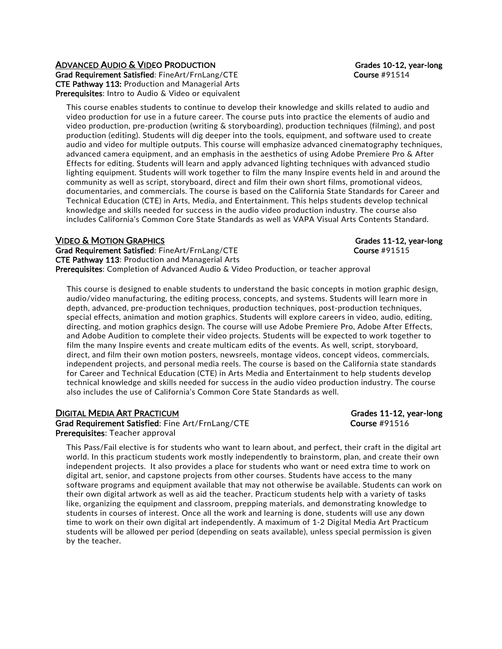## ADVANCED AUDIO & VIDEO PRODUCTION GRADUS AND STADES 10-12, year-long

Grad Requirement Satisfied: FineArt/FrnLang/CTE example and the course #91514 CTE Pathway 113: Production and Managerial Arts Prerequisites: Intro to Audio & Video or equivalent

This course enables students to continue to develop their knowledge and skills related to audio and video production for use in a future career. The course puts into practice the elements of audio and video production, pre-production (writing & storyboarding), production techniques (filming), and post production (editing). Students will dig deeper into the tools, equipment, and software used to create audio and video for multiple outputs. This course will emphasize advanced cinematography techniques, advanced camera equipment, and an emphasis in the aesthetics of using Adobe Premiere Pro & After Effects for editing. Students will learn and apply advanced lighting techniques with advanced studio lighting equipment. Students will work together to film the many Inspire events held in and around the community as well as script, storyboard, direct and film their own short films, promotional videos, documentaries, and commercials. The course is based on the California State Standards for Career and Technical Education (CTE) in Arts, Media, and Entertainment. This helps students develop technical knowledge and skills needed for success in the audio video production industry. The course also includes California's Common Core State Standards as well as VAPA Visual Arts Contents Standard.

## VIDEO & MOTION GRAPHICS **Grades 11-12, year-long**

Grad Requirement Satisfied: FineArt/FrnLang/CTE example and the course #91515 CTE Pathway 113: Production and Managerial Arts Prerequisites: Completion of Advanced Audio & Video Production, or teacher approval

This course is designed to enable students to understand the basic concepts in motion graphic design, audio/video manufacturing, the editing process, concepts, and systems. Students will learn more in depth, advanced, pre-production techniques, production techniques, post-production techniques, special effects, animation and motion graphics. Students will explore careers in video, audio, editing, directing, and motion graphics design. The course will use Adobe Premiere Pro, Adobe After Effects, and Adobe Audition to complete their video projects. Students will be expected to work together to film the many Inspire events and create multicam edits of the events. As well, script, storyboard, direct, and film their own motion posters, newsreels, montage videos, concept videos, commercials, independent projects, and personal media reels. The course is based on the California state standards for Career and Technical Education (CTE) in Arts Media and Entertainment to help students develop technical knowledge and skills needed for success in the audio video production industry. The course also includes the use of California's Common Core State Standards as well.

## DIGITAL MEDIA ART PRACTICUM Grades 11-12, year-long

Grad Requirement Satisfied: Fine Art/FrnLang/CTE Course #91516 Prerequisites: Teacher approval

This Pass/Fail elective is for students who want to learn about, and perfect, their craft in the digital art world. In this practicum students work mostly independently to brainstorm, plan, and create their own independent projects. It also provides a place for students who want or need extra time to work on digital art, senior, and capstone projects from other courses. Students have access to the many software programs and equipment available that may not otherwise be available. Students can work on their own digital artwork as well as aid the teacher. Practicum students help with a variety of tasks like, organizing the equipment and classroom, prepping materials, and demonstrating knowledge to students in courses of interest. Once all the work and learning is done, students will use any down time to work on their own digital art independently. A maximum of 1-2 Digital Media Art Practicum students will be allowed per period (depending on seats available), unless special permission is given by the teacher.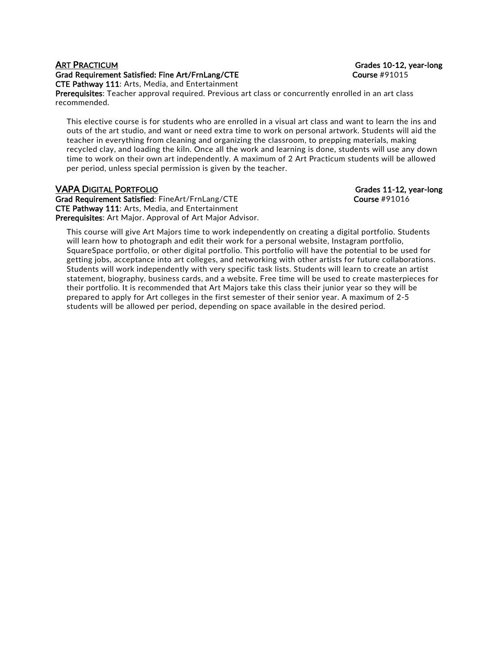### ART PRACTICUM Grades 10-12, year-long Grad Requirement Satisfied: Fine Art/FrnLang/CTE Course #91015 CTE Pathway 111: Arts, Media, and Entertainment

Prerequisites: Teacher approval required. Previous art class or concurrently enrolled in an art class recommended.

This elective course is for students who are enrolled in a visual art class and want to learn the ins and outs of the art studio, and want or need extra time to work on personal artwork. Students will aid the teacher in everything from cleaning and organizing the classroom, to prepping materials, making recycled clay, and loading the kiln. Once all the work and learning is done, students will use any down time to work on their own art independently. A maximum of 2 Art Practicum students will be allowed per period, unless special permission is given by the teacher.

## VAPA DIGITAL PORTFOLIO Grades 11-12, year-long

Grad Requirement Satisfied: FineArt/FrnLang/CTE Course #91016 CTE Pathway 111: Arts, Media, and Entertainment Prerequisites: Art Major. Approval of Art Major Advisor.

This course will give Art Majors time to work independently on creating a digital portfolio. Students will learn how to photograph and edit their work for a personal website, Instagram portfolio, SquareSpace portfolio, or other digital portfolio. This portfolio will have the potential to be used for getting jobs, acceptance into art colleges, and networking with other artists for future collaborations. Students will work independently with very specific task lists. Students will learn to create an artist statement, biography, business cards, and a website. Free time will be used to create masterpieces for their portfolio. It is recommended that Art Majors take this class their junior year so they will be prepared to apply for Art colleges in the first semester of their senior year. A maximum of 2-5 students will be allowed per period, depending on space available in the desired period.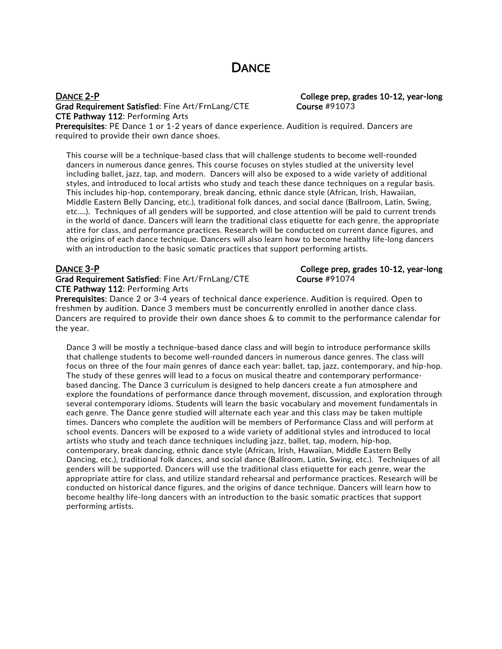## **DANCE**

Grad Requirement Satisfied: Fine Art/FrnLang/CTE Course #91073 CTE Pathway 112: Performing Arts

DANCE 2-P College prep, grades 10-12, year-long

Prerequisites: PE Dance 1 or 1-2 years of dance experience. Audition is required. Dancers are required to provide their own dance shoes.

This course will be a technique-based class that will challenge students to become well-rounded dancers in numerous dance genres. This course focuses on styles studied at the university level including ballet, jazz, tap, and modern. Dancers will also be exposed to a wide variety of additional styles, and introduced to local artists who study and teach these dance techniques on a regular basis. This includes hip-hop, contemporary, break dancing, ethnic dance style (African, Irish, Hawaiian, Middle Eastern Belly Dancing, etc.), traditional folk dances, and social dance (Ballroom, Latin, Swing, etc.…). Techniques of all genders will be supported, and close attention will be paid to current trends in the world of dance. Dancers will learn the traditional class etiquette for each genre, the appropriate attire for class, and performance practices. Research will be conducted on current dance figures, and the origins of each dance technique. Dancers will also learn how to become healthy life-long dancers with an introduction to the basic somatic practices that support performing artists.

Grad Requirement Satisfied: Fine Art/FrnLang/CTE Course #91074 CTE Pathway 112: Performing Arts

DANCE 3-P College prep, grades 10-12, year-long

Prerequisites: Dance 2 or 3-4 years of technical dance experience. Audition is required. Open to freshmen by audition. Dance 3 members must be concurrently enrolled in another dance class. Dancers are required to provide their own dance shoes & to commit to the performance calendar for the year.

Dance 3 will be mostly a technique-based dance class and will begin to introduce performance skills that challenge students to become well-rounded dancers in numerous dance genres. The class will focus on three of the four main genres of dance each year: ballet, tap, jazz, contemporary, and hip-hop. The study of these genres will lead to a focus on musical theatre and contemporary performancebased dancing. The Dance 3 curriculum is designed to help dancers create a fun atmosphere and explore the foundations of performance dance through movement, discussion, and exploration through several contemporary idioms. Students will learn the basic vocabulary and movement fundamentals in each genre. The Dance genre studied will alternate each year and this class may be taken multiple times. Dancers who complete the audition will be members of Performance Class and will perform at school events. Dancers will be exposed to a wide variety of additional styles and introduced to local artists who study and teach dance techniques including jazz, ballet, tap, modern, hip-hop, contemporary, break dancing, ethnic dance style (African, Irish, Hawaiian, Middle Eastern Belly Dancing, etc.), traditional folk dances, and social dance (Ballroom, Latin, Swing, etc.). Techniques of all genders will be supported. Dancers will use the traditional class etiquette for each genre, wear the appropriate attire for class, and utilize standard rehearsal and performance practices. Research will be conducted on historical dance figures, and the origins of dance technique. Dancers will learn how to become healthy life-long dancers with an introduction to the basic somatic practices that support performing artists.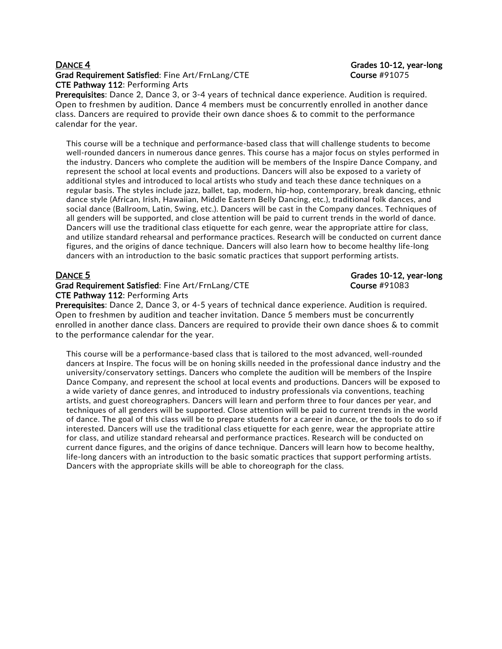## DANCE 4 Grades 10-12, year-long Grad Requirement Satisfied: Fine Art/FrnLang/CTE Course #91075 CTE Pathway 112: Performing Arts

Prerequisites: Dance 2, Dance 3, or 3-4 years of technical dance experience. Audition is required. Open to freshmen by audition. Dance 4 members must be concurrently enrolled in another dance class. Dancers are required to provide their own dance shoes & to commit to the performance calendar for the year.

This course will be a technique and performance-based class that will challenge students to become well-rounded dancers in numerous dance genres. This course has a major focus on styles performed in the industry. Dancers who complete the audition will be members of the Inspire Dance Company, and represent the school at local events and productions. Dancers will also be exposed to a variety of additional styles and introduced to local artists who study and teach these dance techniques on a regular basis. The styles include jazz, ballet, tap, modern, hip-hop, contemporary, break dancing, ethnic dance style (African, Irish, Hawaiian, Middle Eastern Belly Dancing, etc.), traditional folk dances, and social dance (Ballroom, Latin, Swing, etc.). Dancers will be cast in the Company dances. Techniques of all genders will be supported, and close attention will be paid to current trends in the world of dance. Dancers will use the traditional class etiquette for each genre, wear the appropriate attire for class, and utilize standard rehearsal and performance practices. Research will be conducted on current dance figures, and the origins of dance technique. Dancers will also learn how to become healthy life-long dancers with an introduction to the basic somatic practices that support performing artists.

### Grad Requirement Satisfied: Fine Art/FrnLang/CTE Course #91083 CTE Pathway 112: Performing Arts

## DANCE 5 Grades 10-12, year-long

Prerequisites: Dance 2, Dance 3, or 4-5 years of technical dance experience. Audition is required. Open to freshmen by audition and teacher invitation. Dance 5 members must be concurrently enrolled in another dance class. Dancers are required to provide their own dance shoes & to commit to the performance calendar for the year.

This course will be a performance-based class that is tailored to the most advanced, well-rounded dancers at Inspire. The focus will be on honing skills needed in the professional dance industry and the university/conservatory settings. Dancers who complete the audition will be members of the Inspire Dance Company, and represent the school at local events and productions. Dancers will be exposed to a wide variety of dance genres, and introduced to industry professionals via conventions, teaching artists, and guest choreographers. Dancers will learn and perform three to four dances per year, and techniques of all genders will be supported. Close attention will be paid to current trends in the world of dance. The goal of this class will be to prepare students for a career in dance, or the tools to do so if interested. Dancers will use the traditional class etiquette for each genre, wear the appropriate attire for class, and utilize standard rehearsal and performance practices. Research will be conducted on current dance figures, and the origins of dance technique. Dancers will learn how to become healthy, life-long dancers with an introduction to the basic somatic practices that support performing artists. Dancers with the appropriate skills will be able to choreograph for the class.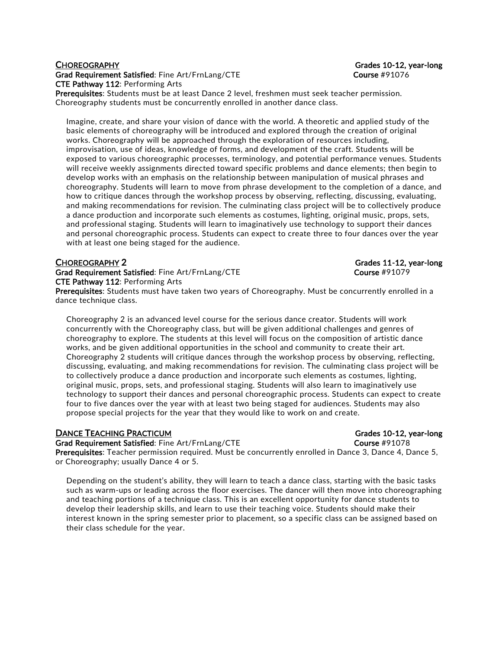## CHOREOGRAPHY Grades 10-12, year-long Grad Requirement Satisfied: Fine Art/FrnLang/CTE Course #91076 CTE Pathway 112: Performing Arts

Prerequisites: Students must be at least Dance 2 level, freshmen must seek teacher permission. Choreography students must be concurrently enrolled in another dance class.

Imagine, create, and share your vision of dance with the world. A theoretic and applied study of the basic elements of choreography will be introduced and explored through the creation of original works. Choreography will be approached through the exploration of resources including, improvisation, use of ideas, knowledge of forms, and development of the craft. Students will be exposed to various choreographic processes, terminology, and potential performance venues. Students will receive weekly assignments directed toward specific problems and dance elements; then begin to develop works with an emphasis on the relationship between manipulation of musical phrases and choreography. Students will learn to move from phrase development to the completion of a dance, and how to critique dances through the workshop process by observing, reflecting, discussing, evaluating, and making recommendations for revision. The culminating class project will be to collectively produce a dance production and incorporate such elements as costumes, lighting, original music, props, sets, and professional staging. Students will learn to imaginatively use technology to support their dances and personal choreographic process. Students can expect to create three to four dances over the year with at least one being staged for the audience.

Grad Requirement Satisfied: Fine Art/FrnLang/CTE Course #91079 CTE Pathway 112: Performing Arts

Prerequisites: Students must have taken two years of Choreography. Must be concurrently enrolled in a dance technique class.

Choreography 2 is an advanced level course for the serious dance creator. Students will work concurrently with the Choreography class, but will be given additional challenges and genres of choreography to explore. The students at this level will focus on the composition of artistic dance works, and be given additional opportunities in the school and community to create their art. Choreography 2 students will critique dances through the workshop process by observing, reflecting, discussing, evaluating, and making recommendations for revision. The culminating class project will be to collectively produce a dance production and incorporate such elements as costumes, lighting, original music, props, sets, and professional staging. Students will also learn to imaginatively use technology to support their dances and personal choreographic process. Students can expect to create four to five dances over the year with at least two being staged for audiences. Students may also propose special projects for the year that they would like to work on and create.

### **DANCE TEACHING PRACTICUM** GRACTICUM GRADES 10-12, year-long

Grad Requirement Satisfied: Fine Art/FrnLang/CTE Course #91078 Prerequisites: Teacher permission required. Must be concurrently enrolled in Dance 3, Dance 4, Dance 5, or Choreography; usually Dance 4 or 5.

Depending on the student's ability, they will learn to teach a dance class, starting with the basic tasks such as warm-ups or leading across the floor exercises. The dancer will then move into choreographing and teaching portions of a technique class. This is an excellent opportunity for dance students to develop their leadership skills, and learn to use their teaching voice. Students should make their interest known in the spring semester prior to placement, so a specific class can be assigned based on their class schedule for the year.

CHOREOGRAPHY 2 Grades 11-12, year-long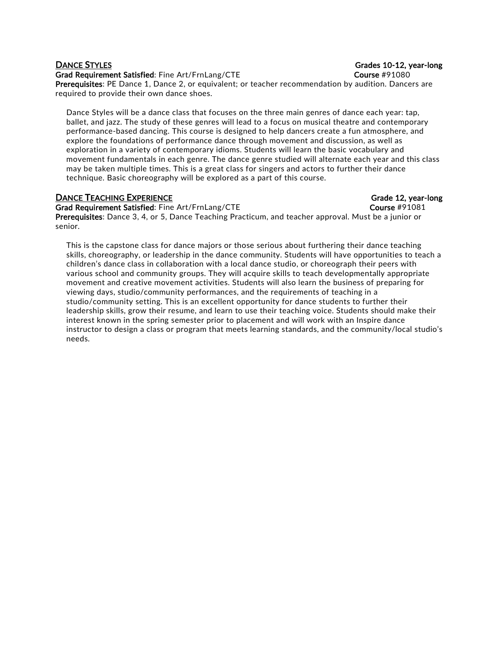## Grad Requirement Satisfied: Fine Art/FrnLang/CTE Course #91080

Prerequisites: PE Dance 1, Dance 2, or equivalent; or teacher recommendation by audition. Dancers are required to provide their own dance shoes.

Dance Styles will be a dance class that focuses on the three main genres of dance each year: tap, ballet, and jazz. The study of these genres will lead to a focus on musical theatre and contemporary performance-based dancing. This course is designed to help dancers create a fun atmosphere, and explore the foundations of performance dance through movement and discussion, as well as exploration in a variety of contemporary idioms. Students will learn the basic vocabulary and movement fundamentals in each genre. The dance genre studied will alternate each year and this class may be taken multiple times. This is a great class for singers and actors to further their dance technique. Basic choreography will be explored as a part of this course.

## **DANCE TEACHING EXPERIENCE GRADE CONSUMING EXPERIENCE Grade 12, year-long**

Grad Requirement Satisfied: Fine Art/FrnLang/CTE Course #91081 Prerequisites: Dance 3, 4, or 5, Dance Teaching Practicum, and teacher approval. Must be a junior or senior.

This is the capstone class for dance majors or those serious about furthering their dance teaching skills, choreography, or leadership in the dance community. Students will have opportunities to teach a children's dance class in collaboration with a local dance studio, or choreograph their peers with various school and community groups. They will acquire skills to teach developmentally appropriate movement and creative movement activities. Students will also learn the business of preparing for viewing days, studio/community performances, and the requirements of teaching in a studio/community setting. This is an excellent opportunity for dance students to further their leadership skills, grow their resume, and learn to use their teaching voice. Students should make their interest known in the spring semester prior to placement and will work with an Inspire dance instructor to design a class or program that meets learning standards, and the community/local studio's needs.

## **DANCE STYLES** Grades 10-12, year-long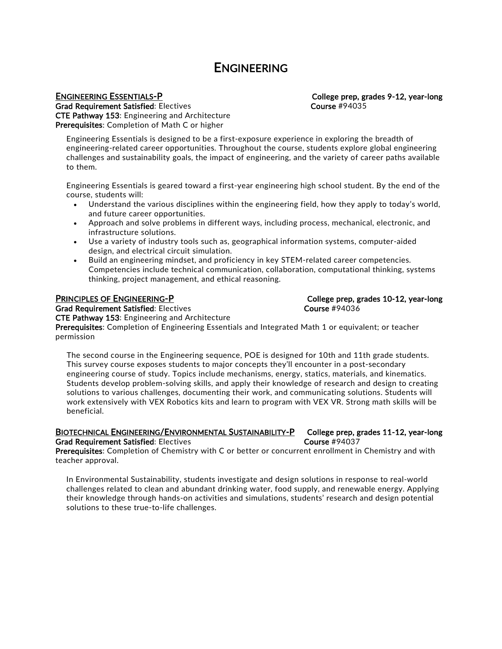## ENGINEERING

 ENGINEERING ESSENTIALS-P College prep, grades 9-12, year-long Grad Requirement Satisfied: Electives Course 2001 1994035 CTE Pathway 153: Engineering and Architecture Prerequisites: Completion of Math C or higher

Engineering Essentials is designed to be a first-exposure experience in exploring the breadth of engineering-related career opportunities. Throughout the course, students explore global engineering challenges and sustainability goals, the impact of engineering, and the variety of career paths available to them.

Engineering Essentials is geared toward a first-year engineering high school student. By the end of the course, students will:

- Understand the various disciplines within the engineering field, how they apply to today's world, and future career opportunities.
- Approach and solve problems in different ways, including process, mechanical, electronic, and infrastructure solutions.
- Use a variety of industry tools such as, geographical information systems, computer-aided design, and electrical circuit simulation.
- Build an engineering mindset, and proficiency in key STEM-related career competencies. Competencies include technical communication, collaboration, computational thinking, systems thinking, project management, and ethical reasoning.

PRINCIPLES OF ENGINEERING-P COLLEGE COLLEGE PRINCIPLES OF ENGINEERING-P Grad Requirement Satisfied: Electives Course 2001 1994036

CTE Pathway 153: Engineering and Architecture Prerequisites: Completion of Engineering Essentials and Integrated Math 1 or equivalent; or teacher permission

The second course in the Engineering sequence, POE is designed for 10th and 11th grade students. This survey course exposes students to major concepts they'll encounter in a post-secondary engineering course of study. Topics include mechanisms, energy, statics, materials, and kinematics. Students develop problem-solving skills, and apply their knowledge of research and design to creating solutions to various challenges, documenting their work, and communicating solutions. Students will work extensively with VEX Robotics kits and learn to program with VEX VR. Strong math skills will be beneficial.

## BIOTECHNICAL ENGINEERING/ENVIRONMENTAL SUSTAINABILITY-P College prep, grades 11-12, year-long Grad Requirement Satisfied: Electives Course #94037

Prerequisites: Completion of Chemistry with C or better or concurrent enrollment in Chemistry and with teacher approval.

In Environmental Sustainability, students investigate and design solutions in response to real-world challenges related to clean and abundant drinking water, food supply, and renewable energy. Applying their knowledge through hands-on activities and simulations, students' research and design potential solutions to these true-to-life challenges.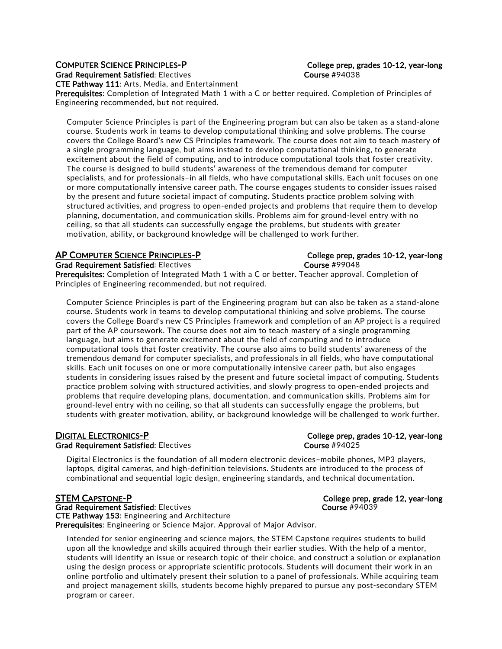Grad Requirement Satisfied: Electives Course #94038

CTE Pathway 111: Arts, Media, and Entertainment

Prerequisites: Completion of Integrated Math 1 with a C or better required. Completion of Principles of Engineering recommended, but not required.

Computer Science Principles is part of the Engineering program but can also be taken as a stand-alone course. Students work in teams to develop computational thinking and solve problems. The course covers the College Board's new CS Principles framework. The course does not aim to teach mastery of a single programming language, but aims instead to develop computational thinking, to generate excitement about the field of computing, and to introduce computational tools that foster creativity. The course is designed to build students' awareness of the tremendous demand for computer specialists, and for professionals–in all fields, who have computational skills. Each unit focuses on one or more computationally intensive career path. The course engages students to consider issues raised by the present and future societal impact of computing. Students practice problem solving with structured activities, and progress to open-ended projects and problems that require them to develop planning, documentation, and communication skills. Problems aim for ground-level entry with no ceiling, so that all students can successfully engage the problems, but students with greater motivation, ability, or background knowledge will be challenged to work further.

## AP COMPUTER SCIENCE PRINCIPLES-P CONVERTED College prep, grades 10-12, year-long

Grad Requirement Satisfied: Electives Course #99048

Prerequisites: Completion of Integrated Math 1 with a C or better. Teacher approval. Completion of Principles of Engineering recommended, but not required.

Computer Science Principles is part of the Engineering program but can also be taken as a stand-alone course. Students work in teams to develop computational thinking and solve problems. The course covers the College Board's new CS Principles framework and completion of an AP project is a required part of the AP coursework. The course does not aim to teach mastery of a single programming language, but aims to generate excitement about the field of computing and to introduce computational tools that foster creativity. The course also aims to build students' awareness of the tremendous demand for computer specialists, and professionals in all fields, who have computational skills. Each unit focuses on one or more computationally intensive career path, but also engages students in considering issues raised by the present and future societal impact of computing. Students practice problem solving with structured activities, and slowly progress to open-ended projects and problems that require developing plans, documentation, and communication skills. Problems aim for ground-level entry with no ceiling, so that all students can successfully engage the problems, but students with greater motivation, ability, or background knowledge will be challenged to work further.

### DIGITAL ELECTRONICS-P College prep, grades 10-12, year-long Grad Requirement Satisfied: Electives Course #94025

Digital Electronics is the foundation of all modern electronic devices–mobile phones, MP3 players, laptops, digital cameras, and high-definition televisions. Students are introduced to the process of combinational and sequential logic design, engineering standards, and technical documentation.

STEM CAPSTONE-P COLLEGE PRODUCED COLLEGE PREP, grade 12, year-long Grad Requirement Satisfied: Electives Course #94039 CTE Pathway 153: Engineering and Architecture Prerequisites: Engineering or Science Major. Approval of Major Advisor.

Intended for senior engineering and science majors, the STEM Capstone requires students to build upon all the knowledge and skills acquired through their earlier studies. With the help of a mentor, students will identify an issue or research topic of their choice, and construct a solution or explanation using the design process or appropriate scientific protocols. Students will document their work in an online portfolio and ultimately present their solution to a panel of professionals. While acquiring team and project management skills, students become highly prepared to pursue any post-secondary STEM program or career.

## COMPUTER SCIENCE PRINCIPLES-P CONFERENT College prep, grades 10-12, year-long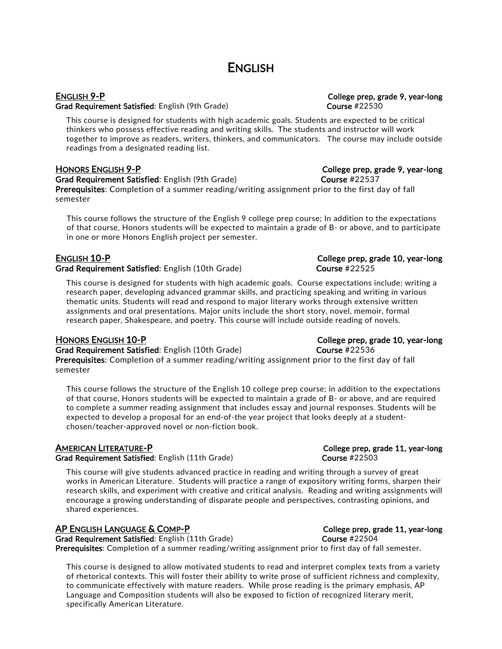## **ENGLISH**

Grad Requirement Satisfied: English (9th Grade) Course #22530

This course is designed for students with high academic goals. Students are expected to be critical thinkers who possess effective reading and writing skills. The students and instructor will work together to improve as readers, writers, thinkers, and communicators. The course may include outside readings from a designated reading list.

## HONORS ENGLISH 9-P COLLEGE PREPARTIES AND RESERVE TO COLLEGE PREP, grade 9, year-long

Grad Requirement Satisfied: English (9th Grade) Course #22537

Prerequisites: Completion of a summer reading/writing assignment prior to the first day of fall semester

This course follows the structure of the English 9 college prep course; In addition to the expectations of that course, Honors students will be expected to maintain a grade of B- or above, and to participate in one or more Honors English project per semester.

## ENGLISH 10-P College prep, grade 10, year-long

Grad Requirement Satisfied: English (10th Grade) Course #22525

This course is designed for students with high academic goals. Course expectations include: writing a research paper, developing advanced grammar skills, and practicing speaking and writing in various thematic units. Students will read and respond to major literary works through extensive written assignments and oral presentations. Major units include the short story, novel, memoir, formal research paper, Shakespeare, and poetry. This course will include outside reading of novels.

Grad Requirement Satisfied: English (10th Grade) Course #22536

Prerequisites: Completion of a summer reading/writing assignment prior to the first day of fall semester

This course follows the structure of the English 10 college prep course; in addition to the expectations of that course, Honors students will be expected to maintain a grade of B- or above, and are required to complete a summer reading assignment that includes essay and journal responses. Students will be expected to develop a proposal for an end-of-the year project that looks deeply at a studentchosen/teacher-approved novel or non-fiction book.

Grad Requirement Satisfied: English (11th Grade) Course #22503

This course will give students advanced practice in reading and writing through a survey of great works in American Literature. Students will practice a range of expository writing forms, sharpen their research skills, and experiment with creative and critical analysis. Reading and writing assignments will encourage a growing understanding of disparate people and perspectives, contrasting opinions, and shared experiences.

## AP ENGLISH LANGUAGE & COMP-P COLLEGE PRODUCED College prep, grade 11, year-long

Grad Requirement Satisfied: English (11th Grade) Course #22504 Prerequisites: Completion of a summer reading/writing assignment prior to first day of fall semester.

This course is designed to allow motivated students to read and interpret complex texts from a variety of rhetorical contexts. This will foster their ability to write prose of sufficient richness and complexity, to communicate effectively with mature readers. While prose reading is the primary emphasis, AP Language and Composition students will also be exposed to fiction of recognized literary merit, specifically American Literature.

# ENGLISH 9-P College prep, grade 9, year-long

HONORS ENGLISH 10-P College prep, grade 10, year-long

AMERICAN LITERATURE-P **College prep, grade 11, year-long**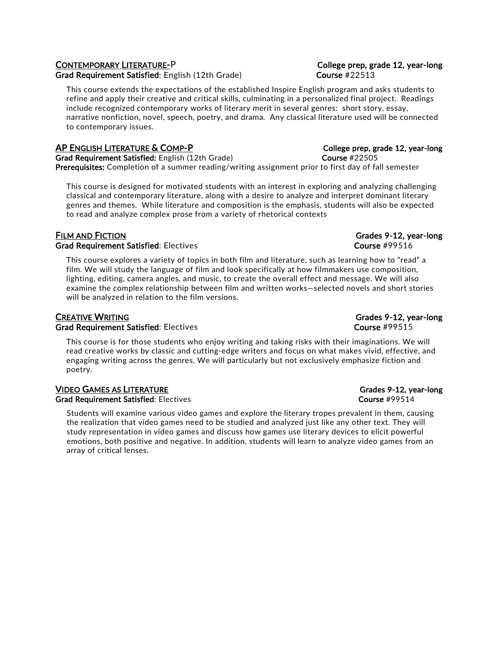## CONTEMPORARY LITERATURE-P College prep, grade 12, year-long

Grad Requirement Satisfied: English (12th Grade) Course #22513

This course extends the expectations of the established Inspire English program and asks students to refine and apply their creative and critical skills, culminating in a personalized final project. Readings include recognized contemporary works of literary merit in several genres: short story, essay, narrative nonfiction, novel, speech, poetry, and drama. Any classical literature used will be connected to contemporary issues.

## AP ENGLISH LITERATURE & COMP-P College prep, grade 12, year-long

Grad Requirement Satisfied: English (12th Grade) Course #22505 Prerequisites: Completion of a summer reading/writing assignment prior to first day of fall semester

This course is designed for motivated students with an interest in exploring and analyzing challenging classical and contemporary literature, along with a desire to analyze and interpret dominant literary genres and themes. While literature and composition is the emphasis, students will also be expected to read and analyze complex prose from a variety of rhetorical contexts

## FILM AND FICTION Grades 9-12, year-long Grad Requirement Satisfied: Electives Course #99516

This course explores a variety of topics in both film and literature, such as learning how to "read" a film. We will study the language of film and look specifically at how filmmakers use composition, lighting, editing, camera angles, and music, to create the overall effect and message. We will also examine the complex relationship between film and written works—selected novels and short stories will be analyzed in relation to the film versions.

## CREATIVE WRITING Grades 9-12, year-long Grad Requirement Satisfied: Electives Course #99515

This course is for those students who enjoy writing and taking risks with their imaginations. We will read creative works by classic and cutting-edge writers and focus on what makes vivid, effective, and engaging writing across the genres. We will particularly but not exclusively emphasize fiction and poetry.

### VIDEO GAMES AS LITERATURE Grades 9-12, year-long Grad Requirement Satisfied: Electives Course #99514

Students will examine various video games and explore the literary tropes prevalent in them, causing the realization that video games need to be studied and analyzed just like any other text. They will study representation in video games and discuss how games use literary devices to elicit powerful emotions, both positive and negative. In addition, students will learn to analyze video games from an array of critical lenses.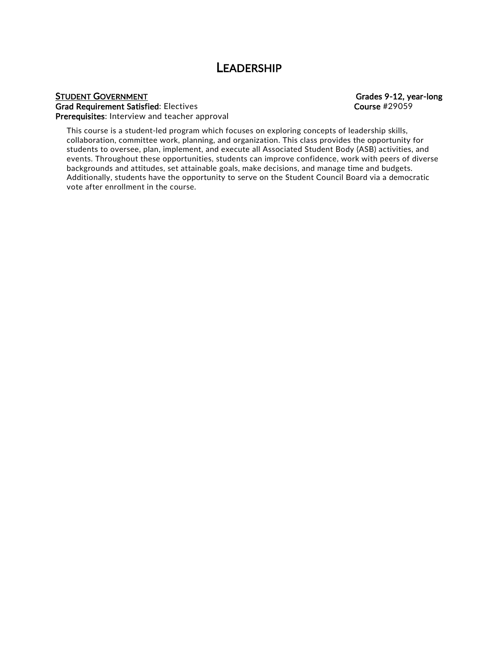## LEADERSHIP

# STUDENT GOVERNMENT Grades 9-12, year-long

Grad Requirement Satisfied: Electives Course #29059 Prerequisites: Interview and teacher approval

This course is a student-led program which focuses on exploring concepts of leadership skills, collaboration, committee work, planning, and organization. This class provides the opportunity for students to oversee, plan, implement, and execute all Associated Student Body (ASB) activities, and events. Throughout these opportunities, students can improve confidence, work with peers of diverse backgrounds and attitudes, set attainable goals, make decisions, and manage time and budgets. Additionally, students have the opportunity to serve on the Student Council Board via a democratic vote after enrollment in the course.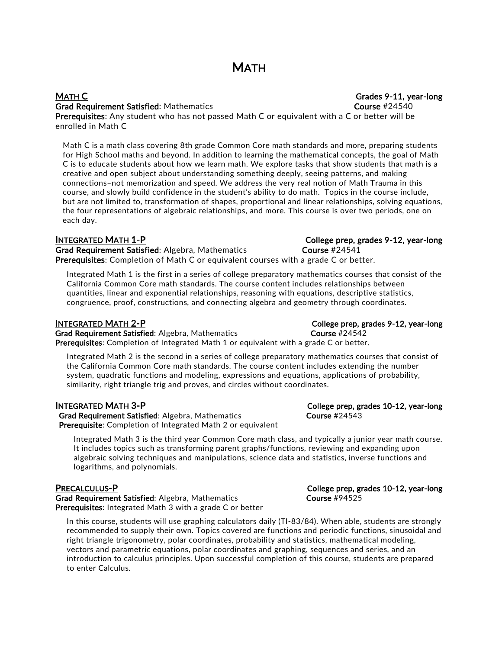## MATH C Grades 9-11, year-long Grad Requirement Satisfied: Mathematics **Course 24540** Course #24540

Prerequisites: Any student who has not passed Math C or equivalent with a C or better will be enrolled in Math C

Math C is a math class covering 8th grade Common Core math standards and more, preparing students for High School maths and beyond. In addition to learning the mathematical concepts, the goal of Math C is to educate students about how we learn math. We explore tasks that show students that math is a creative and open subject about understanding something deeply, seeing patterns, and making connections–not memorization and speed. We address the very real notion of Math Trauma in this course, and slowly build confidence in the student's ability to do math. Topics in the course include, but are not limited to, transformation of shapes, proportional and linear relationships, solving equations, the four representations of algebraic relationships, and more. This course is over two periods, one on each day.

Grad Requirement Satisfied: Algebra, Mathematics Course #24541 Prerequisites: Completion of Math C or equivalent courses with a grade C or better.

Integrated Math 1 is the first in a series of college preparatory mathematics courses that consist of the California Common Core math standards. The course content includes relationships between quantities, linear and exponential relationships, reasoning with equations, descriptive statistics, congruence, proof, constructions, and connecting algebra and geometry through coordinates.

## INTEGRATED MATH 2-P College prep, grades 9-12, year-long

Grad Requirement Satisfied: Algebra, Mathematics Course #24542 Prerequisites: Completion of Integrated Math 1 or equivalent with a grade C or better.

Integrated Math 2 is the second in a series of college preparatory mathematics courses that consist of the California Common Core math standards. The course content includes extending the number system, quadratic functions and modeling, expressions and equations, applications of probability, similarity, right triangle trig and proves, and circles without coordinates.

## INTEGRATED MATH 3-P College prep, grades 10-12, year-long

Grad Requirement Satisfied: Algebra, Mathematics Course #24543 Prerequisite: Completion of Integrated Math 2 or equivalent

Integrated Math 3 is the third year Common Core math class, and typically a junior year math course. It includes topics such as transforming parent graphs/functions, reviewing and expanding upon algebraic solving techniques and manipulations, science data and statistics, inverse functions and logarithms, and polynomials.

## PRECALCULUS-P College prep, grades 10-12, year-long

Grad Requirement Satisfied: Algebra, Mathematics Course #94525 Prerequisites: Integrated Math 3 with a grade C or better

In this course, students will use graphing calculators daily (TI-83/84). When able, students are strongly recommended to supply their own. Topics covered are functions and periodic functions, sinusoidal and right triangle trigonometry, polar coordinates, probability and statistics, mathematical modeling, vectors and parametric equations, polar coordinates and graphing, sequences and series, and an introduction to calculus principles. Upon successful completion of this course, students are prepared to enter Calculus.

INTEGRATED MATH 1-P College prep, grades 9-12, year-long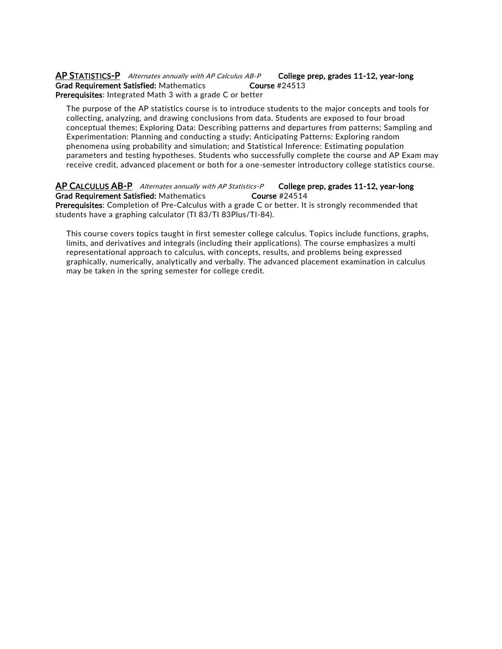### AP STATISTICS-P Alternates annually with AP Calculus AB-P College prep, grades 11-12, year-long Grad Requirement Satisfied: Mathematics Course #24513 Prerequisites: Integrated Math 3 with a grade C or better

The purpose of the AP statistics course is to introduce students to the major concepts and tools for collecting, analyzing, and drawing conclusions from data. Students are exposed to four broad conceptual themes; Exploring Data: Describing patterns and departures from patterns; Sampling and Experimentation: Planning and conducting a study; Anticipating Patterns: Exploring random phenomena using probability and simulation; and Statistical Inference: Estimating population parameters and testing hypotheses. Students who successfully complete the course and AP Exam may receive credit, advanced placement or both for a one-semester introductory college statistics course.

### AP CALCULUS AB-P Alternates annually with AP Statistics-P College prep, grades 11-12, year-long<br>Grad Requirement Satisfied: Mathematics Course #24514 Grad Requirement Satisfied: Mathematics Prerequisites: Completion of Pre-Calculus with a grade C or better. It is strongly recommended that students have a graphing calculator (TI 83/TI 83Plus/TI-84).

This course covers topics taught in first semester college calculus. Topics include functions, graphs, limits, and derivatives and integrals (including their applications). The course emphasizes a multi representational approach to calculus, with concepts, results, and problems being expressed graphically, numerically, analytically and verbally. The advanced placement examination in calculus may be taken in the spring semester for college credit.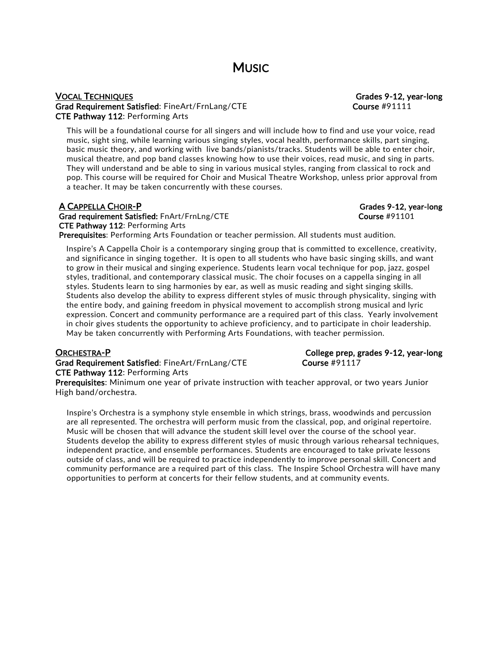## VOCAL TECHNIQUES Grades 9-12, year-long Grad Requirement Satisfied: FineArt/FrnLang/CTE Course #91111 CTE Pathway 112: Performing Arts

This will be a foundational course for all singers and will include how to find and use your voice, read music, sight sing, while learning various singing styles, vocal health, performance skills, part singing, basic music theory, and working with live bands/pianists/tracks. Students will be able to enter choir, musical theatre, and pop band classes knowing how to use their voices, read music, and sing in parts. They will understand and be able to sing in various musical styles, ranging from classical to rock and pop. This course will be required for Choir and Musical Theatre Workshop, unless prior approval from a teacher. It may be taken concurrently with these courses.

## A CAPPELLA CHOIR-P Grades 9-12, year-long Grad requirement Satisfied: FnArt/FrnLng/CTE Course #91101 CTE Pathway 112: Performing Arts

Prerequisites: Performing Arts Foundation or teacher permission. All students must audition.

Inspire's A Cappella Choir is a contemporary singing group that is committed to excellence, creativity, and significance in singing together. It is open to all students who have basic singing skills, and want to grow in their musical and singing experience. Students learn vocal technique for pop, jazz, gospel styles, traditional, and contemporary classical music. The choir focuses on a cappella singing in all styles. Students learn to sing harmonies by ear, as well as music reading and sight singing skills. Students also develop the ability to express different styles of music through physicality, singing with the entire body, and gaining freedom in physical movement to accomplish strong musical and lyric expression. Concert and community performance are a required part of this class. Yearly involvement in choir gives students the opportunity to achieve proficiency, and to participate in choir leadership. May be taken concurrently with Performing Arts Foundations, with teacher permission.

Grad Requirement Satisfied: FineArt/FrnLang/CTE Course #91117 CTE Pathway 112: Performing Arts

ORCHESTRA-P College prep, grades 9-12, year-long

Prerequisites: Minimum one year of private instruction with teacher approval, or two years Junior High band/orchestra.

Inspire's Orchestra is a symphony style ensemble in which strings, brass, woodwinds and percussion are all represented. The orchestra will perform music from the classical, pop, and original repertoire. Music will be chosen that will advance the student skill level over the course of the school year. Students develop the ability to express different styles of music through various rehearsal techniques, independent practice, and ensemble performances. Students are encouraged to take private lessons outside of class, and will be required to practice independently to improve personal skill. Concert and community performance are a required part of this class. The Inspire School Orchestra will have many opportunities to perform at concerts for their fellow students, and at community events.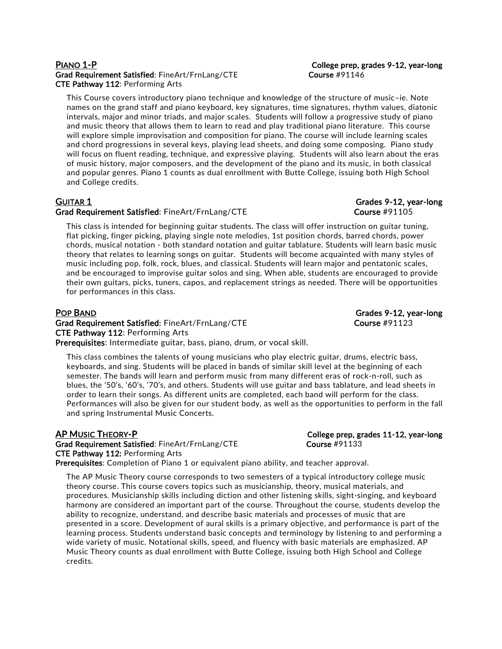## PIANO 1-P College prep, grades 9-12, year-long Grad Requirement Satisfied: FineArt/FrnLang/CTE Course #91146 CTE Pathway 112: Performing Arts

This Course covers introductory piano technique and knowledge of the structure of music–ie. Note names on the grand staff and piano keyboard, key signatures, time signatures, rhythm values, diatonic intervals, major and minor triads, and major scales. Students will follow a progressive study of piano and music theory that allows them to learn to read and play traditional piano literature. This course will explore simple improvisation and composition for piano. The course will include learning scales and chord progressions in several keys, playing lead sheets, and doing some composing. Piano study will focus on fluent reading, technique, and expressive playing. Students will also learn about the eras of music history, major composers, and the development of the piano and its music, in both classical and popular genres. Piano 1 counts as dual enrollment with Butte College, issuing both High School and College credits.

## GUITAR 1 Grades 9-12, year-long Grad Requirement Satisfied: FineArt/FrnLang/CTE example and the Course #91105

This class is intended for beginning guitar students. The class will offer instruction on guitar tuning, flat picking, finger picking, playing single note melodies, 1st position chords, barred chords, power chords, musical notation - both standard notation and guitar tablature. Students will learn basic music theory that relates to learning songs on guitar. Students will become acquainted with many styles of music including pop, folk, rock, blues, and classical. Students will learn major and pentatonic scales, and be encouraged to improvise guitar solos and sing. When able, students are encouraged to provide their own guitars, picks, tuners, capos, and replacement strings as needed. There will be opportunities for performances in this class.

Grad Requirement Satisfied: FineArt/FrnLang/CTE Course #91123 CTE Pathway 112: Performing Arts Prerequisites: Intermediate guitar, bass, piano, drum, or vocal skill.

This class combines the talents of young musicians who play electric guitar, drums, electric bass, keyboards, and sing. Students will be placed in bands of similar skill level at the beginning of each semester. The bands will learn and perform music from many different eras of rock-n-roll, such as blues, the '50's, '60's, '70's, and others. Students will use guitar and bass tablature, and lead sheets in order to learn their songs. As different units are completed, each band will perform for the class. Performances will also be given for our student body, as well as the opportunities to perform in the fall and spring Instrumental Music Concerts.

AP MUSIC THEORY-P College prep, grades 11-12, year-long Grad Requirement Satisfied: FineArt/FrnLang/CTE Course #91133 CTE Pathway 112: Performing Arts

Prerequisites: Completion of Piano 1 or equivalent piano ability, and teacher approval.

The AP Music Theory course corresponds to two semesters of a typical introductory college music theory course. This course covers topics such as musicianship, theory, musical materials, and procedures. Musicianship skills including diction and other listening skills, sight-singing, and keyboard harmony are considered an important part of the course. Throughout the course, students develop the ability to recognize, understand, and describe basic materials and processes of music that are presented in a score. Development of aural skills is a primary objective, and performance is part of the learning process. Students understand basic concepts and terminology by listening to and performing a wide variety of music. Notational skills, speed, and fluency with basic materials are emphasized. AP Music Theory counts as dual enrollment with Butte College, issuing both High School and College credits.

POP BAND Grades 9-12, year-long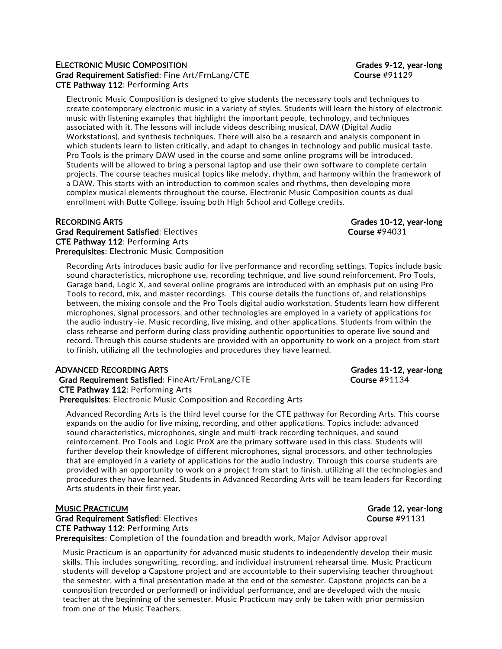## ELECTRONIC MUSIC COMPOSITION GRADES AND STATE STATES SERVICE STATES AND GRADES 9-12, year-long Grad Requirement Satisfied: Fine Art/FrnLang/CTE Course #91129 CTE Pathway 112: Performing Arts

Electronic Music Composition is designed to give students the necessary tools and techniques to create contemporary electronic music in a variety of styles. Students will learn the history of electronic music with listening examples that highlight the important people, technology, and techniques associated with it. The lessons will include videos describing musical, DAW (Digital Audio Workstations), and synthesis techniques. There will also be a research and analysis component in which students learn to listen critically, and adapt to changes in technology and public musical taste. Pro Tools is the primary DAW used in the course and some online programs will be introduced. Students will be allowed to bring a personal laptop and use their own software to complete certain projects. The course teaches musical topics like melody, rhythm, and harmony within the framework of a DAW. This starts with an introduction to common scales and rhythms, then developing more complex musical elements throughout the course. Electronic Music Composition counts as dual enrollment with Butte College, issuing both High School and College credits.

RECORDING ARTS Grades 10-12, year-long

Grad Requirement Satisfied: Electives Course #94031 CTE Pathway 112: Performing Arts Prerequisites: Electronic Music Composition

Recording Arts introduces basic audio for live performance and recording settings. Topics include basic sound characteristics, microphone use, recording technique, and live sound reinforcement. Pro Tools, Garage band, Logic X, and several online programs are introduced with an emphasis put on using Pro Tools to record, mix, and master recordings. This course details the functions of, and relationships between, the mixing console and the Pro Tools digital audio workstation. Students learn how different microphones, signal processors, and other technologies are employed in a variety of applications for the audio industry–ie. Music recording, live mixing, and other applications. Students from within the class rehearse and perform during class providing authentic opportunities to operate live sound and record. Through this course students are provided with an opportunity to work on a project from start to finish, utilizing all the technologies and procedures they have learned.

### ADVANCED RECORDING ARTS Grades 11-12, year-long

Grad Requirement Satisfied: FineArt/FrnLang/CTE Course #91134 CTE Pathway 112: Performing Arts Prerequisites: Electronic Music Composition and Recording Arts

Advanced Recording Arts is the third level course for the CTE pathway for Recording Arts. This course expands on the audio for live mixing, recording, and other applications. Topics include: advanced sound characteristics, microphones, single and multi-track recording techniques, and sound reinforcement. Pro Tools and Logic ProX are the primary software used in this class. Students will further develop their knowledge of different microphones, signal processors, and other technologies that are employed in a variety of applications for the audio industry. Through this course students are provided with an opportunity to work on a project from start to finish, utilizing all the technologies and procedures they have learned. Students in Advanced Recording Arts will be team leaders for Recording Arts students in their first year.

### MUSIC PRACTICUM GRADE CONSULTERING THE CONSULTERING CONSULTERING CONSULTERING CONSULTERING CONSULTERING CONSUMING CONSUMING CONSULTERING CONSUMING CONSUMING CONSUMING CONSUMING CONSUMING CONSUMING CONSUMING CONSUMING CONSU

Grad Requirement Satisfied: Electives Course #91131 CTE Pathway 112: Performing Arts Prerequisites: Completion of the foundation and breadth work, Major Advisor approval

Music Practicum is an opportunity for advanced music students to independently develop their music skills. This includes songwriting, recording, and individual instrument rehearsal time. Music Practicum students will develop a Capstone project and are accountable to their supervising teacher throughout the semester, with a final presentation made at the end of the semester. Capstone projects can be a composition (recorded or performed) or individual performance, and are developed with the music teacher at the beginning of the semester. Music Practicum may only be taken with prior permission from one of the Music Teachers.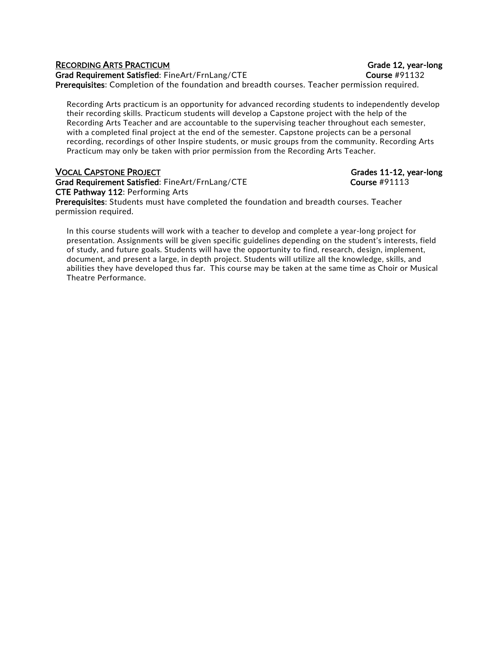## RECORDING ARTS PRACTICUM GRADE CONSUMING A RECORDING ARTS PRACTICUM

Grad Requirement Satisfied: FineArt/FrnLang/CTE example and the course #91132 Prerequisites: Completion of the foundation and breadth courses. Teacher permission required.

Recording Arts practicum is an opportunity for advanced recording students to independently develop their recording skills. Practicum students will develop a Capstone project with the help of the Recording Arts Teacher and are accountable to the supervising teacher throughout each semester, with a completed final project at the end of the semester. Capstone projects can be a personal recording, recordings of other Inspire students, or music groups from the community. Recording Arts Practicum may only be taken with prior permission from the Recording Arts Teacher.

## VOCAL CAPSTONE PROJECT Grades 11-12, year-long

Grad Requirement Satisfied: FineArt/FrnLang/CTE Course #91113 CTE Pathway 112: Performing Arts Prerequisites: Students must have completed the foundation and breadth courses. Teacher permission required.

In this course students will work with a teacher to develop and complete a year-long project for presentation. Assignments will be given specific guidelines depending on the student's interests, field of study, and future goals. Students will have the opportunity to find, research, design, implement, document, and present a large, in depth project. Students will utilize all the knowledge, skills, and abilities they have developed thus far. This course may be taken at the same time as Choir or Musical Theatre Performance.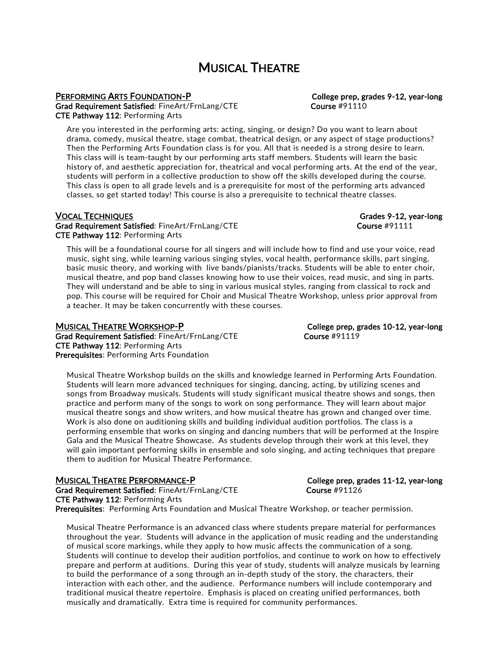## MUSICAL THEATRE

## PERFORMING ARTS FOUNDATION-P COLLEGE TO College prep, grades 9-12, year-long

Grad Requirement Satisfied: FineArt/FrnLang/CTE Course #91110 CTE Pathway 112: Performing Arts

Are you interested in the performing arts: acting, singing, or design? Do you want to learn about drama, comedy, musical theatre, stage combat, theatrical design, or any aspect of stage productions? Then the Performing Arts Foundation class is for you. All that is needed is a strong desire to learn. This class will is team-taught by our performing arts staff members. Students will learn the basic history of, and aesthetic appreciation for, theatrical and vocal performing arts. At the end of the year, students will perform in a collective production to show off the skills developed during the course. This class is open to all grade levels and is a prerequisite for most of the performing arts advanced classes, so get started today! This course is also a prerequisite to technical theatre classes.

## VOCAL TECHNIQUES Grades 9-12, year-long

Grad Requirement Satisfied: FineArt/FrnLang/CTE example and the course #91111 CTE Pathway 112: Performing Arts

This will be a foundational course for all singers and will include how to find and use your voice, read music, sight sing, while learning various singing styles, vocal health, performance skills, part singing, basic music theory, and working with live bands/pianists/tracks. Students will be able to enter choir, musical theatre, and pop band classes knowing how to use their voices, read music, and sing in parts. They will understand and be able to sing in various musical styles, ranging from classical to rock and pop. This course will be required for Choir and Musical Theatre Workshop, unless prior approval from a teacher. It may be taken concurrently with these courses.

MUSICAL THEATRE WORKSHOP-P CONVERTED College prep, grades 10-12, year-long Grad Requirement Satisfied: FineArt/FrnLang/CTE Course #91119 CTE Pathway 112: Performing Arts Prerequisites: Performing Arts Foundation

Musical Theatre Workshop builds on the skills and knowledge learned in Performing Arts Foundation. Students will learn more advanced techniques for singing, dancing, acting, by utilizing scenes and songs from Broadway musicals. Students will study significant musical theatre shows and songs, then practice and perform many of the songs to work on song performance. They will learn about major musical theatre songs and show writers, and how musical theatre has grown and changed over time. Work is also done on auditioning skills and building individual audition portfolios. The class is a performing ensemble that works on singing and dancing numbers that will be performed at the Inspire Gala and the Musical Theatre Showcase. As students develop through their work at this level, they will gain important performing skills in ensemble and solo singing, and acting techniques that prepare them to audition for Musical Theatre Performance.

## MUSICAL THEATRE PERFORMANCE-P College prep, grades 11-12, year-long

Grad Requirement Satisfied: FineArt/FrnLang/CTE Course #91126 CTE Pathway 112: Performing Arts Prerequisites: Performing Arts Foundation and Musical Theatre Workshop, or teacher permission.

Musical Theatre Performance is an advanced class where students prepare material for performances throughout the year. Students will advance in the application of music reading and the understanding of musical score markings, while they apply to how music affects the communication of a song. Students will continue to develop their audition portfolios, and continue to work on how to effectively prepare and perform at auditions. During this year of study, students will analyze musicals by learning to build the performance of a song through an in-depth study of the story, the characters, their interaction with each other, and the audience. Performance numbers will include contemporary and traditional musical theatre repertoire. Emphasis is placed on creating unified performances, both musically and dramatically. Extra time is required for community performances.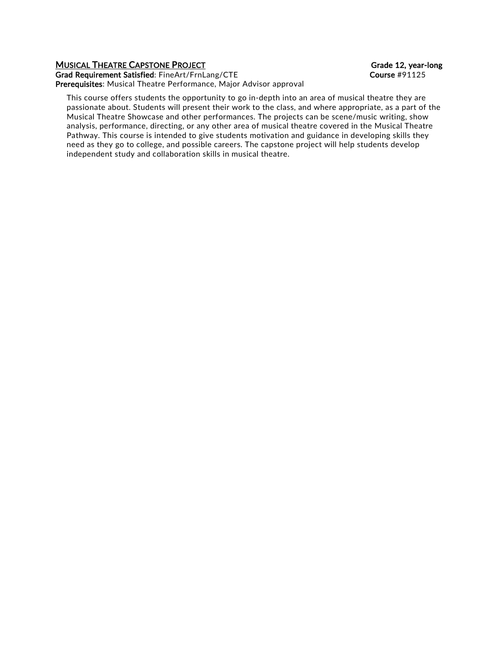## MUSICAL THEATRE CAPSTONE PROJECT **CONSUMING THE CONSUMING THE CONSUMING THE CONSUMING THE CONSUMING TEAM**

Grad Requirement Satisfied: FineArt/FrnLang/CTE Course #91125 Prerequisites: Musical Theatre Performance, Major Advisor approval

This course offers students the opportunity to go in-depth into an area of musical theatre they are passionate about. Students will present their work to the class, and where appropriate, as a part of the Musical Theatre Showcase and other performances. The projects can be scene/music writing, show analysis, performance, directing, or any other area of musical theatre covered in the Musical Theatre Pathway. This course is intended to give students motivation and guidance in developing skills they need as they go to college, and possible careers. The capstone project will help students develop independent study and collaboration skills in musical theatre.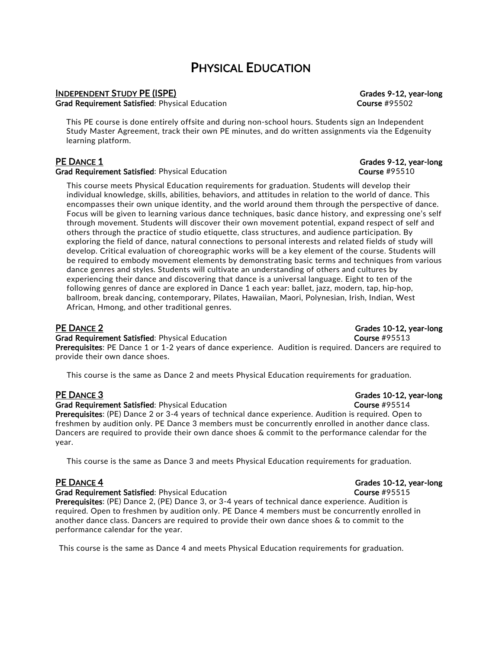## PHYSICAL EDUCATION

## INDEPENDENT STUDY PE (ISPE) Grades 9-12, year-long

Grad Requirement Satisfied: Physical Education Course #95502

This PE course is done entirely offsite and during non-school hours. Students sign an Independent Study Master Agreement, track their own PE minutes, and do written assignments via the Edgenuity learning platform.

### Grad Requirement Satisfied: Physical Education Course #95510

This course meets Physical Education requirements for graduation. Students will develop their individual knowledge, skills, abilities, behaviors, and attitudes in relation to the world of dance. This encompasses their own unique identity, and the world around them through the perspective of dance. Focus will be given to learning various dance techniques, basic dance history, and expressing one's self through movement. Students will discover their own movement potential, expand respect of self and others through the practice of studio etiquette, class structures, and audience participation. By exploring the field of dance, natural connections to personal interests and related fields of study will develop. Critical evaluation of choreographic works will be a key element of the course. Students will be required to embody movement elements by demonstrating basic terms and techniques from various dance genres and styles. Students will cultivate an understanding of others and cultures by experiencing their dance and discovering that dance is a universal language. Eight to ten of the following genres of dance are explored in Dance 1 each year: ballet, jazz, modern, tap, hip-hop, ballroom, break dancing, contemporary, Pilates, Hawaiian, Maori, Polynesian, Irish, Indian, West African, Hmong, and other traditional genres.

### **PE DANCE 2** Grades 10-12, year-long

### Grad Requirement Satisfied: Physical Education Course #95513

Prerequisites: PE Dance 1 or 1-2 years of dance experience. Audition is required. Dancers are required to provide their own dance shoes.

This course is the same as Dance 2 and meets Physical Education requirements for graduation.

### **PE DANCE 3** Grades 10-12, year-long

### Grad Requirement Satisfied: Physical Education Course #95514

Prerequisites: (PE) Dance 2 or 3-4 years of technical dance experience. Audition is required. Open to freshmen by audition only. PE Dance 3 members must be concurrently enrolled in another dance class. Dancers are required to provide their own dance shoes & commit to the performance calendar for the year.

This course is the same as Dance 3 and meets Physical Education requirements for graduation.

### Grad Requirement Satisfied: Physical Education Course #95515

Prerequisites: (PE) Dance 2, (PE) Dance 3, or 3-4 years of technical dance experience. Audition is required. Open to freshmen by audition only. PE Dance 4 members must be concurrently enrolled in another dance class. Dancers are required to provide their own dance shoes & to commit to the performance calendar for the year.

This course is the same as Dance 4 and meets Physical Education requirements for graduation.

**PE DANCE 1** Grades 9-12, year-long

**PE DANCE 4** Grades 10-12, year-long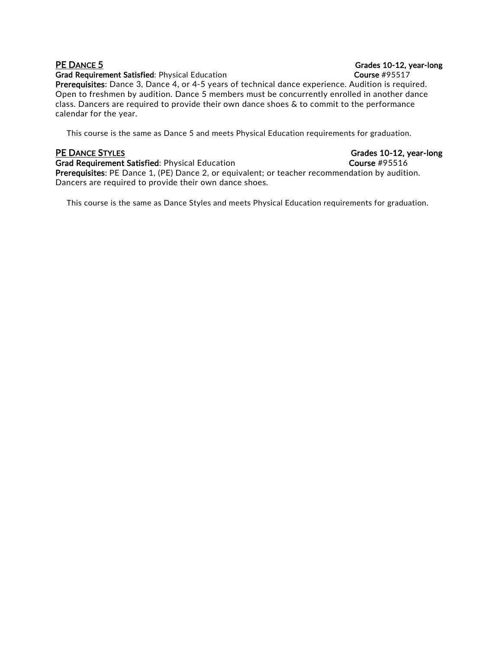Grad Requirement Satisfied: Physical Education Course #95517

Prerequisites: Dance 3, Dance 4, or 4-5 years of technical dance experience. Audition is required. Open to freshmen by audition. Dance 5 members must be concurrently enrolled in another dance class. Dancers are required to provide their own dance shoes & to commit to the performance calendar for the year.

This course is the same as Dance 5 and meets Physical Education requirements for graduation.

Grad Requirement Satisfied: Physical Education Course #95516 Prerequisites: PE Dance 1, (PE) Dance 2, or equivalent; or teacher recommendation by audition. Dancers are required to provide their own dance shoes.

This course is the same as Dance Styles and meets Physical Education requirements for graduation.

## PE DANCE 5 Grades 10-12, year-long

PE DANCE STYLES Grades 10-12, year-long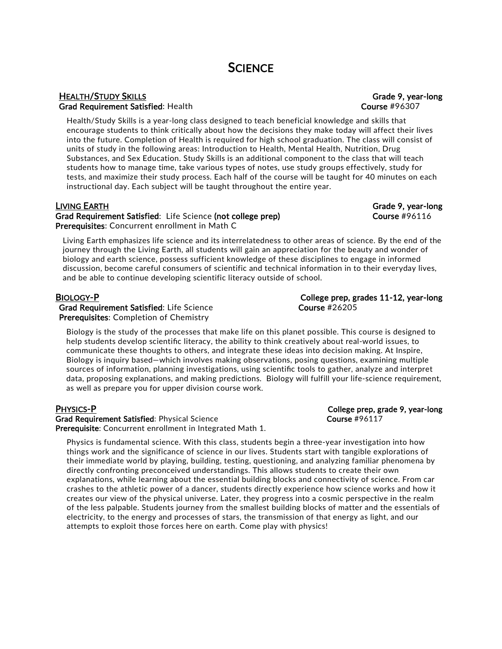## HEALTH/STUDY SKILLS Grade 9, year-long Grad Requirement Satisfied: Health Course #96307

Health/Study Skills is a year-long class designed to teach beneficial knowledge and skills that encourage students to think critically about how the decisions they make today will affect their lives into the future. Completion of Health is required for high school graduation. The class will consist of units of study in the following areas: Introduction to Health, Mental Health, Nutrition, Drug Substances, and Sex Education. Study Skills is an additional component to the class that will teach students how to manage time, take various types of notes, use study groups effectively, study for tests, and maximize their study process. Each half of the course will be taught for 40 minutes on each instructional day. Each subject will be taught throughout the entire year.

## LIVING EARTH Grade 9, year-long

Grad Requirement Satisfied: Life Science (not college prep) Course #96116 Prerequisites: Concurrent enrollment in Math C

Living Earth emphasizes life science and its interrelatedness to other areas of science. By the end of the journey through the Living Earth, all students will gain an appreciation for the beauty and wonder of biology and earth science, possess sufficient knowledge of these disciplines to engage in informed discussion, become careful consumers of scientific and technical information in to their everyday lives, and be able to continue developing scientific literacy outside of school.

Grad Requirement Satisfied: Life Science Course #26205 Prerequisites: Completion of Chemistry

Biology is the study of the processes that make life on this planet possible. This course is designed to help students develop scientific literacy, the ability to think creatively about real-world issues, to communicate these thoughts to others, and integrate these ideas into decision making. At Inspire, Biology is inquiry based—which involves making observations, posing questions, examining multiple sources of information, planning investigations, using scientific tools to gather, analyze and interpret data, proposing explanations, and making predictions. Biology will fulfill your life-science requirement, as well as prepare you for upper division course work.

Grad Requirement Satisfied: Physical Science Course #96117 Prerequisite: Concurrent enrollment in Integrated Math 1.

Physics is fundamental science. With this class, students begin a three-year investigation into how things work and the significance of science in our lives. Students start with tangible explorations of their immediate world by playing, building, testing, questioning, and analyzing familiar phenomena by directly confronting preconceived understandings. This allows students to create their own explanations, while learning about the essential building blocks and connectivity of science. From car crashes to the athletic power of a dancer, students directly experience how science works and how it creates our view of the physical universe. Later, they progress into a cosmic perspective in the realm of the less palpable. Students journey from the smallest building blocks of matter and the essentials of electricity, to the energy and processes of stars, the transmission of that energy as light, and our attempts to exploit those forces here on earth. Come play with physics!

PHYSICS-P College prep, grade 9, year-long

# BIOLOGY-P College prep, grades 11-12, year-long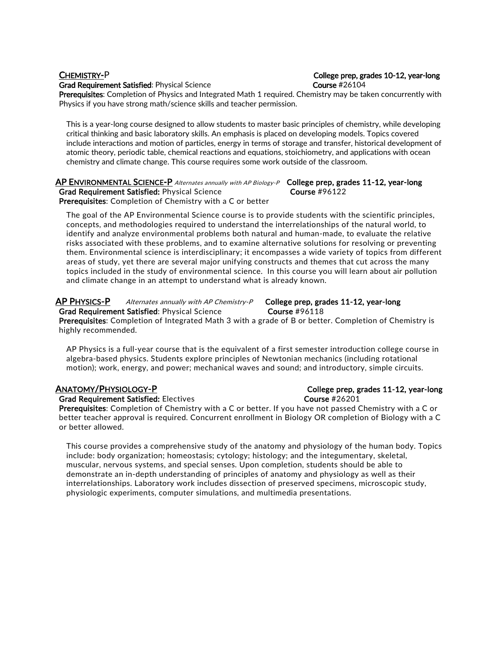Grad Requirement Satisfied: Physical Science Course #26104

## CHEMISTRY-P College prep, grades 10-12, year-long

Prerequisites: Completion of Physics and Integrated Math 1 required. Chemistry may be taken concurrently with Physics if you have strong math/science skills and teacher permission.

This is a year-long course designed to allow students to master basic principles of chemistry, while developing critical thinking and basic laboratory skills. An emphasis is placed on developing models. Topics covered include interactions and motion of particles, energy in terms of storage and transfer, historical development of atomic theory, periodic table, chemical reactions and equations, stoichiometry, and applications with ocean chemistry and climate change. This course requires some work outside of the classroom.

## $\overline{AP}$  ENVIRONMENTAL SCIENCE-P Alternates annually with AP Biology-P College prep, grades 11-12, year-long Grad Requirement Satisfied: Physical Science Course #96122

Prerequisites: Completion of Chemistry with a C or better

The goal of the AP Environmental Science course is to provide students with the scientific principles, concepts, and methodologies required to understand the interrelationships of the natural world, to identify and analyze environmental problems both natural and human-made, to evaluate the relative risks associated with these problems, and to examine alternative solutions for resolving or preventing them. Environmental science is interdisciplinary; it encompasses a wide variety of topics from different areas of study, yet there are several major unifying constructs and themes that cut across the many topics included in the study of environmental science. In this course you will learn about air pollution and climate change in an attempt to understand what is already known.

### AP PHYSICS-P Alternates annually with AP Chemistry-P College prep, grades 11-12, year-long Grad Requirement Satisfied: Physical Science Course #96118

Prerequisites: Completion of Integrated Math 3 with a grade of B or better. Completion of Chemistry is highly recommended.

AP Physics is a full-year course that is the equivalent of a first semester introduction college course in algebra-based physics. Students explore principles of Newtonian mechanics (including rotational motion); work, energy, and power; mechanical waves and sound; and introductory, simple circuits.

Grad Requirement Satisfied: Electives Course #26201

Prerequisites: Completion of Chemistry with a C or better. If you have not passed Chemistry with a C or better teacher approval is required. Concurrent enrollment in Biology OR completion of Biology with a C or better allowed.

This course provides a comprehensive study of the anatomy and physiology of the human body. Topics include: body organization; homeostasis; cytology; histology; and the integumentary, skeletal, muscular, nervous systems, and special senses. Upon completion, students should be able to demonstrate an in-depth understanding of principles of anatomy and physiology as well as their interrelationships. Laboratory work includes dissection of preserved specimens, microscopic study, physiologic experiments, computer simulations, and multimedia presentations.

## ANATOMY/PHYSIOLOGY-P College prep, grades 11-12, year-long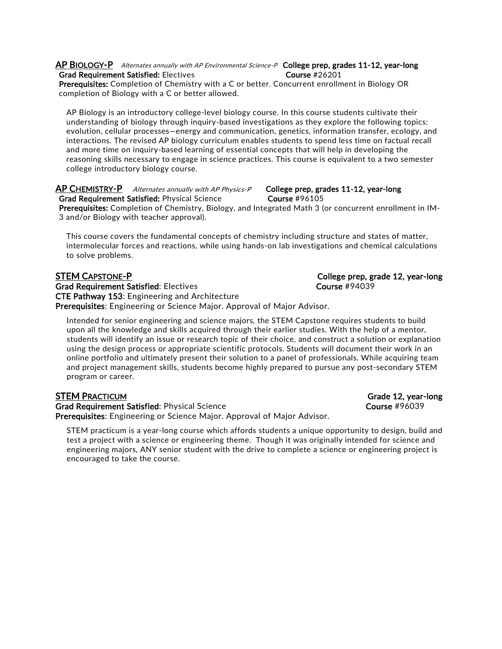### AP BIOLOGY-P Alternates annually with AP Environmental Science-P College prep, grades 11-12, year-long Grad Requirement Satisfied: Electives Course #26201

Prerequisites: Completion of Chemistry with a C or better. Concurrent enrollment in Biology OR completion of Biology with a C or better allowed.

AP Biology is an introductory college-level biology course. In this course students cultivate their understanding of biology through inquiry-based investigations as they explore the following topics: evolution, cellular processes—energy and communication, genetics, information transfer, ecology, and interactions. The revised AP biology curriculum enables students to spend less time on factual recall and more time on inquiry-based learning of essential concepts that will help in developing the reasoning skills necessary to engage in science practices. This course is equivalent to a two semester college introductory biology course.

## AP CHEMISTRY-P Alternates annually with AP Physics-P College prep, grades 11-12, year-long Grad Requirement Satisfied: Physical Science Course #96105

Prerequisites: Completion of Chemistry, Biology, and Integrated Math 3 (or concurrent enrollment in IM-3 and/or Biology with teacher approval).

This course covers the fundamental concepts of chemistry including structure and states of matter, intermolecular forces and reactions, while using hands-on lab investigations and chemical calculations to solve problems.

## STEM CAPSTONE-P **College prep, grade 12, year-long**

Grad Requirement Satisfied: Electives Course 2001 1994039 CTE Pathway 153: Engineering and Architecture Prerequisites: Engineering or Science Major. Approval of Major Advisor.

Intended for senior engineering and science majors, the STEM Capstone requires students to build upon all the knowledge and skills acquired through their earlier studies. With the help of a mentor, students will identify an issue or research topic of their choice, and construct a solution or explanation using the design process or appropriate scientific protocols. Students will document their work in an online portfolio and ultimately present their solution to a panel of professionals. While acquiring team and project management skills, students become highly prepared to pursue any post-secondary STEM program or career.

Grad Requirement Satisfied: Physical Science Course 2008 2008 2008 2008 2009 2011 Prerequisites: Engineering or Science Major. Approval of Major Advisor.

STEM practicum is a year-long course which affords students a unique opportunity to design, build and test a project with a science or engineering theme. Though it was originally intended for science and engineering majors, ANY senior student with the drive to complete a science or engineering project is encouraged to take the course.

STEM PRACTICUM Grade 12, year-long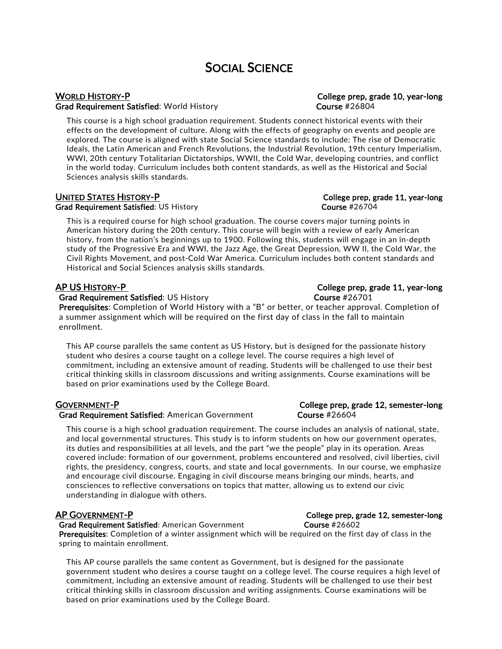## SOCIAL SCIENCE

## WORLD HISTORY-P **College prep, grade 10, year-long** Grad Requirement Satisfied: World History **Course #26804** Course #26804

This course is a high school graduation requirement. Students connect historical events with their effects on the development of culture. Along with the effects of geography on events and people are explored. The course is aligned with state Social Science standards to include: The rise of Democratic Ideals, the Latin American and French Revolutions, the Industrial Revolution, 19th century Imperialism, WWI, 20th century Totalitarian Dictatorships, WWII, the Cold War, developing countries, and conflict in the world today. Curriculum includes both content standards, as well as the Historical and Social Sciences analysis skills standards.

## UNITED STATES HISTORY-P College prep, grade 11, year-long

Grad Requirement Satisfied: US History Course #26704

This is a required course for high school graduation. The course covers major turning points in American history during the 20th century. This course will begin with a review of early American history, from the nation's beginnings up to 1900. Following this, students will engage in an in-depth study of the Progressive Era and WWI, the Jazz Age, the Great Depression, WW II, the Cold War, the Civil Rights Movement, and post-Cold War America. Curriculum includes both content standards and Historical and Social Sciences analysis skills standards.

### Grad Requirement Satisfied: US History Course #26701

Prerequisites: Completion of World History with a "B" or better, or teacher approval. Completion of a summer assignment which will be required on the first day of class in the fall to maintain enrollment.

This AP course parallels the same content as US History, but is designed for the passionate history student who desires a course taught on a college level. The course requires a high level of commitment, including an extensive amount of reading. Students will be challenged to use their best critical thinking skills in classroom discussions and writing assignments. Course examinations will be based on prior examinations used by the College Board.

### GOVERNMENT-P College prep, grade 12, semester-long Grad Requirement Satisfied: American Government Course #26604

This course is a high school graduation requirement. The course includes an analysis of national, state, and local governmental structures. This study is to inform students on how our government operates, its duties and responsibilities at all levels, and the part "we the people" play in its operation. Areas covered include: formation of our government, problems encountered and resolved, civil liberties, civil rights, the presidency, congress, courts, and state and local governments. In our course, we emphasize and encourage civil discourse. Engaging in civil discourse means bringing our minds, hearts, and consciences to reflective conversations on topics that matter, allowing us to extend our civic understanding in dialogue with others.

Grad Requirement Satisfied: American Government Course #26602 Prerequisites: Completion of a winter assignment which will be required on the first day of class in the spring to maintain enrollment.

This AP course parallels the same content as Government, but is designed for the passionate government student who desires a course taught on a college level. The course requires a high level of commitment, including an extensive amount of reading. Students will be challenged to use their best critical thinking skills in classroom discussion and writing assignments. Course examinations will be based on prior examinations used by the College Board.

## AP US HISTORY-P College prep, grade 11, year-long

## AP GOVERNMENT-P COLLEGE PREPART COLLEGE PREPART COLLEGE PREP, grade 12, semester-long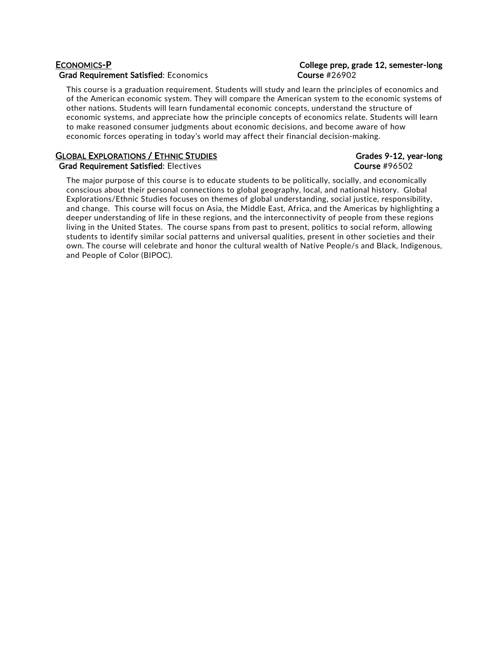## ECONOMICS-P College prep, grade 12, semester-long Grad Requirement Satisfied: Economics **Course #26902**

This course is a graduation requirement. Students will study and learn the principles of economics and of the American economic system. They will compare the American system to the economic systems of other nations. Students will learn fundamental economic concepts, understand the structure of economic systems, and appreciate how the principle concepts of economics relate. Students will learn to make reasoned consumer judgments about economic decisions, and become aware of how economic forces operating in today's world may affect their financial decision-making.

## GLOBAL EXPLORATIONS / ETHNIC STUDIES GRADES GRADES Grades 9-12, year-long

## Grad Requirement Satisfied: Electives Course #96502

The major purpose of this course is to educate students to be politically, socially, and economically conscious about their personal connections to global geography, local, and national history. Global Explorations/Ethnic Studies focuses on themes of global understanding, social justice, responsibility, and change. This course will focus on Asia, the Middle East, Africa, and the Americas by highlighting a deeper understanding of life in these regions, and the interconnectivity of people from these regions living in the United States. The course spans from past to present, politics to social reform, allowing students to identify similar social patterns and universal qualities, present in other societies and their own. The course will celebrate and honor the cultural wealth of Native People/s and Black, Indigenous, and People of Color (BIPOC).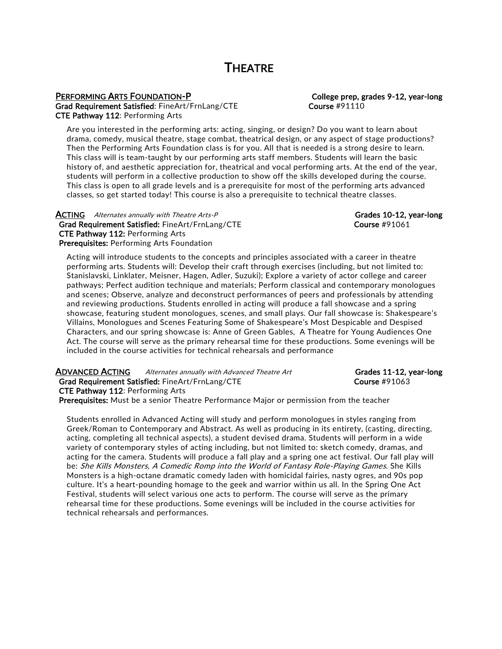## **THEATRE**

Grad Requirement Satisfied: FineArt/FrnLang/CTE Course #91110 CTE Pathway 112: Performing Arts

## PERFORMING ARTS FOUNDATION-P COLLEGE TO College prep, grades 9-12, year-long

Are you interested in the performing arts: acting, singing, or design? Do you want to learn about drama, comedy, musical theatre, stage combat, theatrical design, or any aspect of stage productions? Then the Performing Arts Foundation class is for you. All that is needed is a strong desire to learn. This class will is team-taught by our performing arts staff members. Students will learn the basic history of, and aesthetic appreciation for, theatrical and vocal performing arts. At the end of the year, students will perform in a collective production to show off the skills developed during the course. This class is open to all grade levels and is a prerequisite for most of the performing arts advanced classes, so get started today! This course is also a prerequisite to technical theatre classes.

**ACTING** Alternates annually with Theatre Arts-P Grades 10-12, year-long Grad Requirement Satisfied: FineArt/FrnLang/CTE Course #91061 CTE Pathway 112: Performing Arts Prerequisites: Performing Arts Foundation

Acting will introduce students to the concepts and principles associated with a career in theatre performing arts. Students will: Develop their craft through exercises (including, but not limited to: Stanislavski, Linklater, Meisner, Hagen, Adler, Suzuki); Explore a variety of actor college and career pathways; Perfect audition technique and materials; Perform classical and contemporary monologues and scenes; Observe, analyze and deconstruct performances of peers and professionals by attending and reviewing productions. Students enrolled in acting will produce a fall showcase and a spring showcase, featuring student monologues, scenes, and small plays. Our fall showcase is: Shakespeare's Villains, Monologues and Scenes Featuring Some of Shakespeare's Most Despicable and Despised Characters, and our spring showcase is: Anne of Green Gables, A Theatre for Young Audiences One Act. The course will serve as the primary rehearsal time for these productions. Some evenings will be included in the course activities for technical rehearsals and performance

## ADVANCED ACTING Alternates annually with Advanced Theatre Art Grades 11-12, year-long

Grad Requirement Satisfied: FineArt/FrnLang/CTE Course #91063

CTE Pathway 112: Performing Arts

Prerequisites: Must be a senior Theatre Performance Major or permission from the teacher

Students enrolled in Advanced Acting will study and perform monologues in styles ranging from Greek/Roman to Contemporary and Abstract. As well as producing in its entirety, (casting, directing, acting, completing all technical aspects), a student devised drama. Students will perform in a wide variety of contemporary styles of acting including, but not limited to: sketch comedy, dramas, and acting for the camera. Students will produce a fall play and a spring one act festival. Our fall play will be: She Kills Monsters, A Comedic Romp into the World of Fantasy Role-Playing Games. She Kills Monsters is a high-octane dramatic comedy laden with homicidal fairies, nasty ogres, and 90s pop culture. It's a heart-pounding homage to the geek and warrior within us all. In the Spring One Act Festival, students will select various one acts to perform. The course will serve as the primary rehearsal time for these productions. Some evenings will be included in the course activities for technical rehearsals and performances.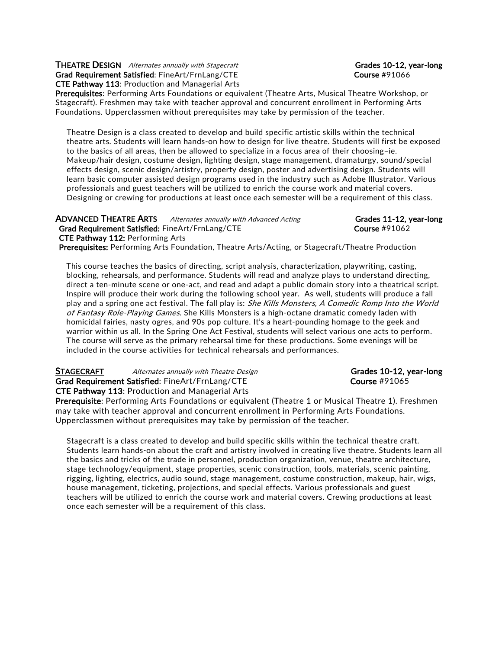### THEATRE DESIGN Alternates annually with Stagecraft Grades 10-12, year-long Grad Requirement Satisfied: FineArt/FrnLang/CTE Course #91066 CTE Pathway 113: Production and Managerial Arts

Prerequisites: Performing Arts Foundations or equivalent (Theatre Arts, Musical Theatre Workshop, or Stagecraft). Freshmen may take with teacher approval and concurrent enrollment in Performing Arts Foundations. Upperclassmen without prerequisites may take by permission of the teacher.

Theatre Design is a class created to develop and build specific artistic skills within the technical theatre arts. Students will learn hands-on how to design for live theatre. Students will first be exposed to the basics of all areas, then be allowed to specialize in a focus area of their choosing–ie. Makeup/hair design, costume design, lighting design, stage management, dramaturgy, sound/special effects design, scenic design/artistry, property design, poster and advertising design. Students will learn basic computer assisted design programs used in the industry such as Adobe Illustrator. Various professionals and guest teachers will be utilized to enrich the course work and material covers. Designing or crewing for productions at least once each semester will be a requirement of this class.

| <b>ADVANCED THEATRE ARTS</b><br>Alternates annually with Advanced Acting                                | Grades 11-12, year-long |
|---------------------------------------------------------------------------------------------------------|-------------------------|
| <b>Grad Requirement Satisfied: FineArt/FrnLang/CTE</b>                                                  | Course $\#91062$        |
| <b>CTE Pathway 112: Performing Arts</b>                                                                 |                         |
| <b>Prerequisites:</b> Performing Arts Foundation, Theatre Arts/Acting, or Stagecraft/Theatre Production |                         |

This course teaches the basics of directing, script analysis, characterization, playwriting, casting, blocking, rehearsals, and performance. Students will read and analyze plays to understand directing, direct a ten-minute scene or one-act, and read and adapt a public domain story into a theatrical script. Inspire will produce their work during the following school year. As well, students will produce a fall play and a spring one act festival. The fall play is: She Kills Monsters, A Comedic Romp Into the World of Fantasy Role-Playing Games. She Kills Monsters is a high-octane dramatic comedy laden with homicidal fairies, nasty ogres, and 90s pop culture. It's a heart-pounding homage to the geek and warrior within us all. In the Spring One Act Festival, students will select various one acts to perform. The course will serve as the primary rehearsal time for these productions. Some evenings will be included in the course activities for technical rehearsals and performances.

STAGECRAFT Alternates annually with Theatre Design Grades 10-12, year-long Grad Requirement Satisfied: FineArt/FrnLang/CTE Course #91065 CTE Pathway 113: Production and Managerial Arts

Prerequisite: Performing Arts Foundations or equivalent (Theatre 1 or Musical Theatre 1). Freshmen may take with teacher approval and concurrent enrollment in Performing Arts Foundations. Upperclassmen without prerequisites may take by permission of the teacher.

Stagecraft is a class created to develop and build specific skills within the technical theatre craft. Students learn hands-on about the craft and artistry involved in creating live theatre. Students learn all the basics and tricks of the trade in personnel, production organization, venue, theatre architecture, stage technology/equipment, stage properties, scenic construction, tools, materials, scenic painting, rigging, lighting, electrics, audio sound, stage management, costume construction, makeup, hair, wigs, house management, ticketing, projections, and special effects. Various professionals and guest teachers will be utilized to enrich the course work and material covers. Crewing productions at least once each semester will be a requirement of this class.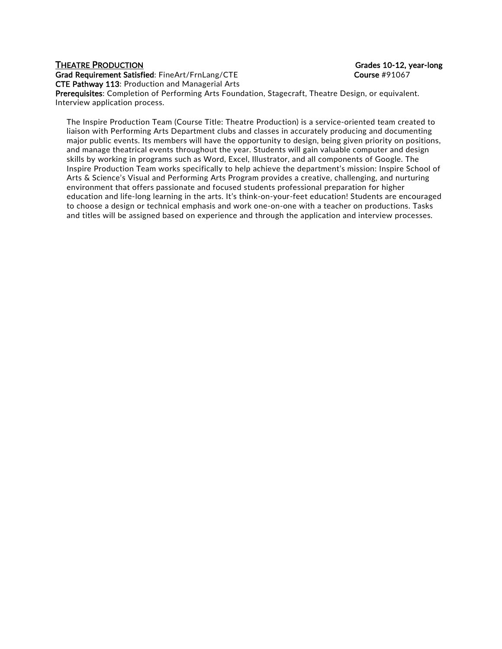Grad Requirement Satisfied: FineArt/FrnLang/CTE example and the course #91067 CTE Pathway 113: Production and Managerial Arts

THEATRE PRODUCTION Grades 10-12, year-long

Prerequisites: Completion of Performing Arts Foundation, Stagecraft, Theatre Design, or equivalent. Interview application process.

The Inspire Production Team (Course Title: Theatre Production) is a service-oriented team created to liaison with Performing Arts Department clubs and classes in accurately producing and documenting major public events. Its members will have the opportunity to design, being given priority on positions, and manage theatrical events throughout the year. Students will gain valuable computer and design skills by working in programs such as Word, Excel, Illustrator, and all components of Google. The Inspire Production Team works specifically to help achieve the department's mission: Inspire School of Arts & Science's Visual and Performing Arts Program provides a creative, challenging, and nurturing environment that offers passionate and focused students professional preparation for higher education and life-long learning in the arts. It's think-on-your-feet education! Students are encouraged to choose a design or technical emphasis and work one-on-one with a teacher on productions. Tasks and titles will be assigned based on experience and through the application and interview processes.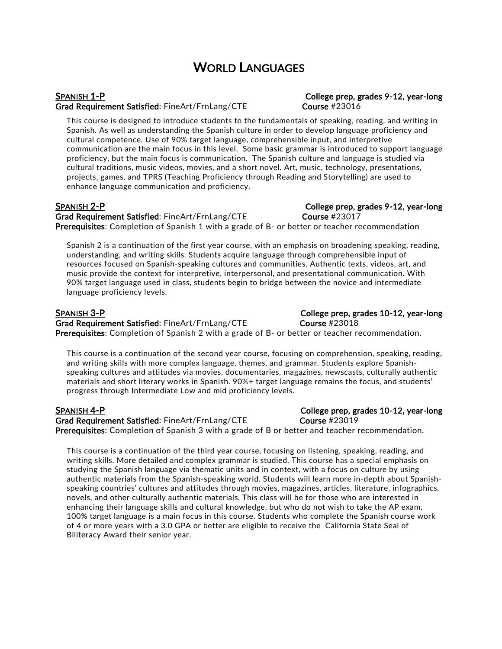## WORLD LANGUAGES

Grad Requirement Satisfied: FineArt/FrnLang/CTE Course #23016

This course is designed to introduce students to the fundamentals of speaking, reading, and writing in Spanish. As well as understanding the Spanish culture in order to develop language proficiency and cultural competence. Use of 90% target language, comprehensible input, and interpretive communication are the main focus in this level. Some basic grammar is introduced to support language proficiency, but the main focus is communication. The Spanish culture and language is studied via cultural traditions, music videos, movies, and a short novel. Art, music, technology, presentations, projects, games, and TPRS (Teaching Proficiency through Reading and Storytelling) are used to enhance language communication and proficiency.

SPANISH 2-P College prep, grades 9-12, year-long Grad Requirement Satisfied: FineArt/FrnLang/CTE Course #23017 Prerequisites: Completion of Spanish 1 with a grade of B- or better or teacher recommendation

Spanish 2 is a continuation of the first year course, with an emphasis on broadening speaking, reading, understanding, and writing skills. Students acquire language through comprehensible input of resources focused on Spanish-speaking cultures and communities. Authentic texts, videos, art, and music provide the context for interpretive, interpersonal, and presentational communication. With 90% target language used in class, students begin to bridge between the novice and intermediate language proficiency levels.

Grad Requirement Satisfied: FineArt/FrnLang/CTE Course #23018 Prerequisites: Completion of Spanish 2 with a grade of B- or better or teacher recommendation.

This course is a continuation of the second year course, focusing on comprehension, speaking, reading, and writing skills with more complex language, themes, and grammar. Students explore Spanishspeaking cultures and attitudes via movies, documentaries, magazines, newscasts, culturally authentic materials and short literary works in Spanish. 90%+ target language remains the focus, and students' progress through Intermediate Low and mid proficiency levels.

SPANISH 4-P College prep, grades 10-12, year-long Grad Requirement Satisfied: FineArt/FrnLang/CTE Course #23019 **Prerequisites:** Completion of Spanish 3 with a grade of B or better and teacher recommendation.

This course is a continuation of the third year course, focusing on listening, speaking, reading, and writing skills. More detailed and complex grammar is studied. This course has a special emphasis on studying the Spanish language via thematic units and in context, with a focus on culture by using authentic materials from the Spanish-speaking world. Students will learn more in-depth about Spanishspeaking countries' cultures and attitudes through movies, magazines, articles, literature, infographics, novels, and other culturally authentic materials. This class will be for those who are interested in enhancing their language skills and cultural knowledge, but who do not wish to take the AP exam. 100% target language is a main focus in this course. Students who complete the Spanish course work of 4 or more years with a 3.0 GPA or better are eligible to receive the California State Seal of Biliteracy Award their senior year.

## SPANISH 1-P College prep, grades 9-12, year-long

SPANISH 3-P College prep, grades 10-12, year-long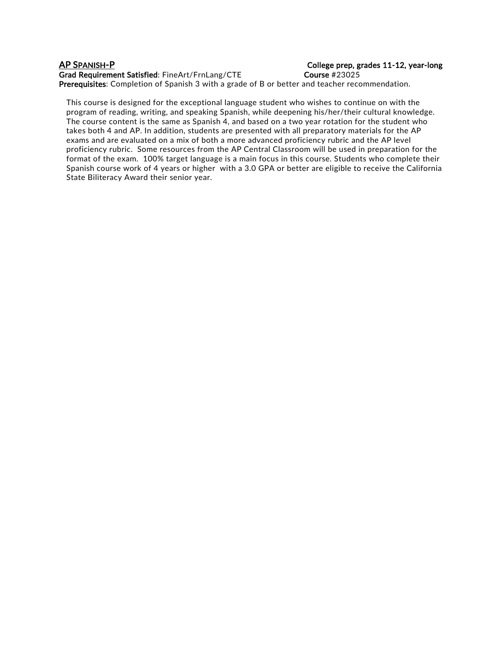## AP SPANISH-P College prep, grades 11-12, year-long

Grad Requirement Satisfied: FineArt/FrnLang/CTE Course #23025 Prerequisites: Completion of Spanish 3 with a grade of B or better and teacher recommendation.

This course is designed for the exceptional language student who wishes to continue on with the program of reading, writing, and speaking Spanish, while deepening his/her/their cultural knowledge. The course content is the same as Spanish 4, and based on a two year rotation for the student who takes both 4 and AP. In addition, students are presented with all preparatory materials for the AP exams and are evaluated on a mix of both a more advanced proficiency rubric and the AP level proficiency rubric. Some resources from the AP Central Classroom will be used in preparation for the format of the exam. 100% target language is a main focus in this course. Students who complete their Spanish course work of 4 years or higher with a 3.0 GPA or better are eligible to receive the California State Biliteracy Award their senior year.